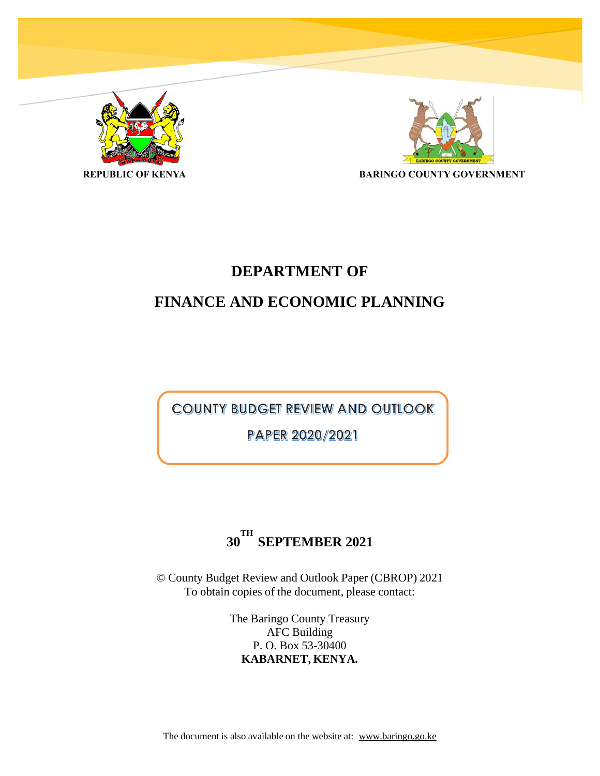



# **DEPARTMENT OF**

# **FINANCE AND ECONOMIC PLANNING**

**COUNTY BUDGET REVIEW AND OUTLOOK** 

PAPER 2020/2021

# **30 TH SEPTEMBER 2021**

© County Budget Review and Outlook Paper (CBROP) 2021 To obtain copies of the document, please contact:

> The Baringo County Treasury AFC Building P. O. Box 53-30400 **KABARNET, KENYA.**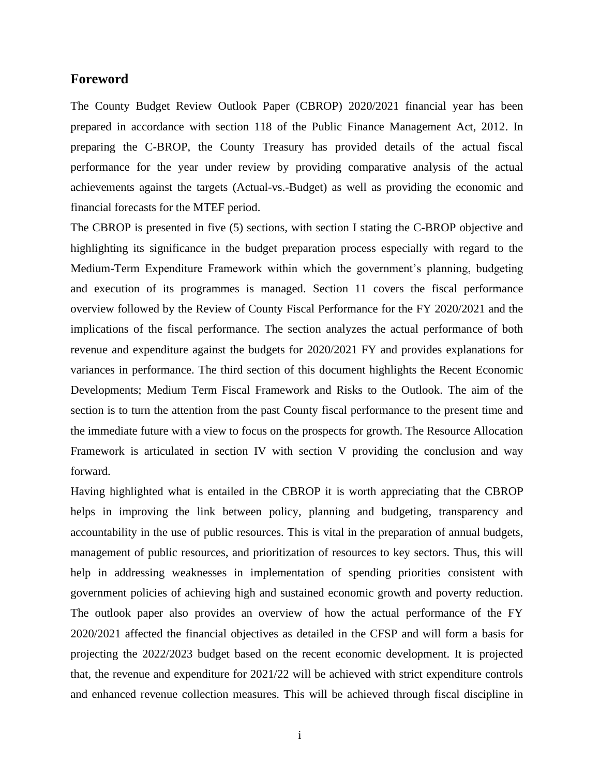### <span id="page-1-0"></span>**Foreword**

The County Budget Review Outlook Paper (CBROP) 2020/2021 financial year has been prepared in accordance with section 118 of the Public Finance Management Act, 2012. In preparing the C-BROP, the County Treasury has provided details of the actual fiscal performance for the year under review by providing comparative analysis of the actual achievements against the targets (Actual-vs.-Budget) as well as providing the economic and financial forecasts for the MTEF period.

The CBROP is presented in five (5) sections, with section I stating the C-BROP objective and highlighting its significance in the budget preparation process especially with regard to the Medium-Term Expenditure Framework within which the government's planning, budgeting and execution of its programmes is managed. Section 11 covers the fiscal performance overview followed by the Review of County Fiscal Performance for the FY 2020/2021 and the implications of the fiscal performance. The section analyzes the actual performance of both revenue and expenditure against the budgets for 2020/2021 FY and provides explanations for variances in performance. The third section of this document highlights the Recent Economic Developments; Medium Term Fiscal Framework and Risks to the Outlook. The aim of the section is to turn the attention from the past County fiscal performance to the present time and the immediate future with a view to focus on the prospects for growth. The Resource Allocation Framework is articulated in section IV with section V providing the conclusion and way forward.

Having highlighted what is entailed in the CBROP it is worth appreciating that the CBROP helps in improving the link between policy, planning and budgeting, transparency and accountability in the use of public resources. This is vital in the preparation of annual budgets, management of public resources, and prioritization of resources to key sectors. Thus, this will help in addressing weaknesses in implementation of spending priorities consistent with government policies of achieving high and sustained economic growth and poverty reduction. The outlook paper also provides an overview of how the actual performance of the FY 2020/2021 affected the financial objectives as detailed in the CFSP and will form a basis for projecting the 2022/2023 budget based on the recent economic development. It is projected that, the revenue and expenditure for 2021/22 will be achieved with strict expenditure controls and enhanced revenue collection measures. This will be achieved through fiscal discipline in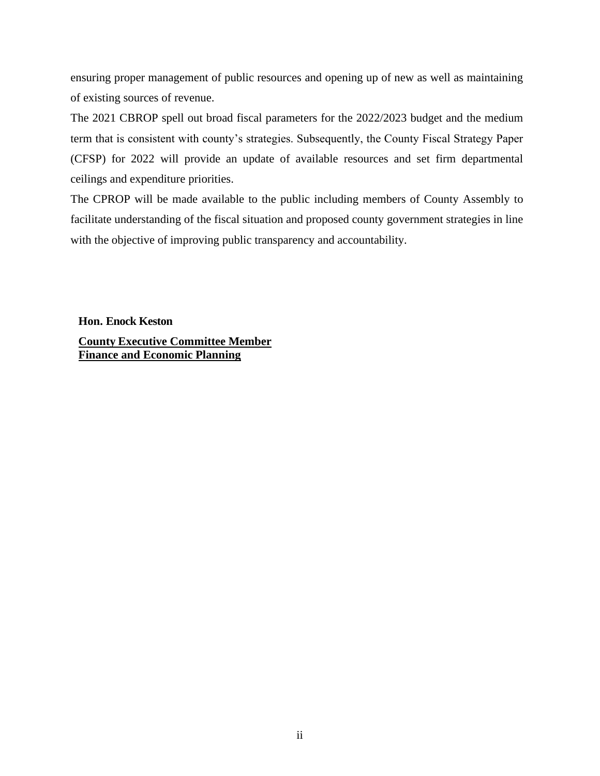ensuring proper management of public resources and opening up of new as well as maintaining of existing sources of revenue.

The 2021 CBROP spell out broad fiscal parameters for the 2022/2023 budget and the medium term that is consistent with county's strategies. Subsequently, the County Fiscal Strategy Paper (CFSP) for 2022 will provide an update of available resources and set firm departmental ceilings and expenditure priorities.

The CPROP will be made available to the public including members of County Assembly to facilitate understanding of the fiscal situation and proposed county government strategies in line with the objective of improving public transparency and accountability.

**Hon. Enock Keston County Executive Committee Member Finance and Economic Planning**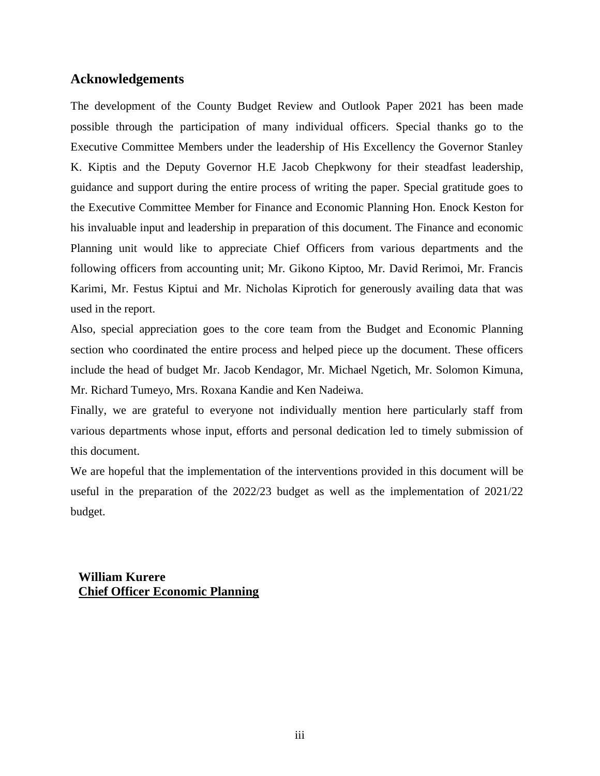# <span id="page-3-0"></span>**Acknowledgements**

The development of the County Budget Review and Outlook Paper 2021 has been made possible through the participation of many individual officers. Special thanks go to the Executive Committee Members under the leadership of His Excellency the Governor Stanley K. Kiptis and the Deputy Governor H.E Jacob Chepkwony for their steadfast leadership, guidance and support during the entire process of writing the paper. Special gratitude goes to the Executive Committee Member for Finance and Economic Planning Hon. Enock Keston for his invaluable input and leadership in preparation of this document. The Finance and economic Planning unit would like to appreciate Chief Officers from various departments and the following officers from accounting unit; Mr. Gikono Kiptoo, Mr. David Rerimoi, Mr. Francis Karimi, Mr. Festus Kiptui and Mr. Nicholas Kiprotich for generously availing data that was used in the report.

Also, special appreciation goes to the core team from the Budget and Economic Planning section who coordinated the entire process and helped piece up the document. These officers include the head of budget Mr. Jacob Kendagor, Mr. Michael Ngetich, Mr. Solomon Kimuna, Mr. Richard Tumeyo, Mrs. Roxana Kandie and Ken Nadeiwa.

Finally, we are grateful to everyone not individually mention here particularly staff from various departments whose input, efforts and personal dedication led to timely submission of this document.

We are hopeful that the implementation of the interventions provided in this document will be useful in the preparation of the 2022/23 budget as well as the implementation of 2021/22 budget.

**William Kurere Chief Officer Economic Planning**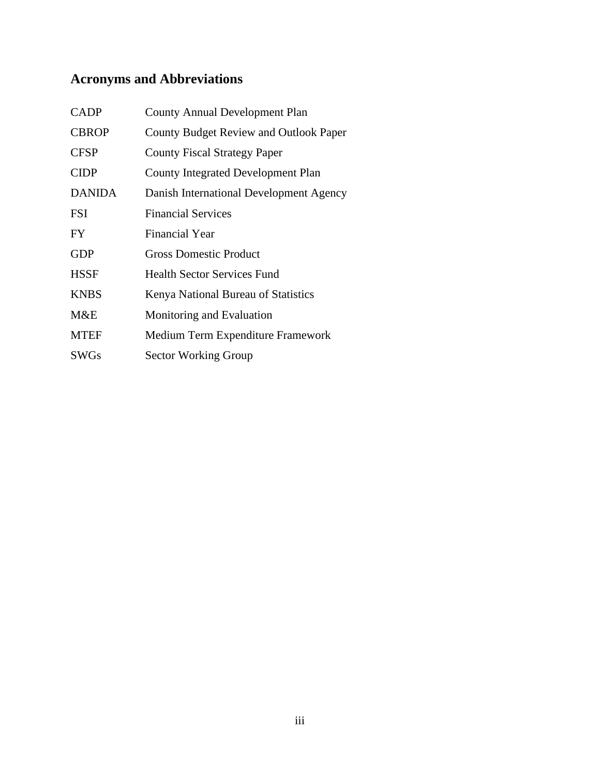# <span id="page-4-0"></span>**Acronyms and Abbreviations**

| <b>CADP</b>   | <b>County Annual Development Plan</b>         |
|---------------|-----------------------------------------------|
| <b>CBROP</b>  | <b>County Budget Review and Outlook Paper</b> |
| <b>CFSP</b>   | <b>County Fiscal Strategy Paper</b>           |
| <b>CIDP</b>   | <b>County Integrated Development Plan</b>     |
| <b>DANIDA</b> | Danish International Development Agency       |
| <b>FSI</b>    | <b>Financial Services</b>                     |
| FY.           | <b>Financial Year</b>                         |
| <b>GDP</b>    | <b>Gross Domestic Product</b>                 |
| <b>HSSF</b>   | <b>Health Sector Services Fund</b>            |
| <b>KNBS</b>   | Kenya National Bureau of Statistics           |
| M&E           | Monitoring and Evaluation                     |
| <b>MTEF</b>   | Medium Term Expenditure Framework             |
| <b>SWGs</b>   | <b>Sector Working Group</b>                   |
|               |                                               |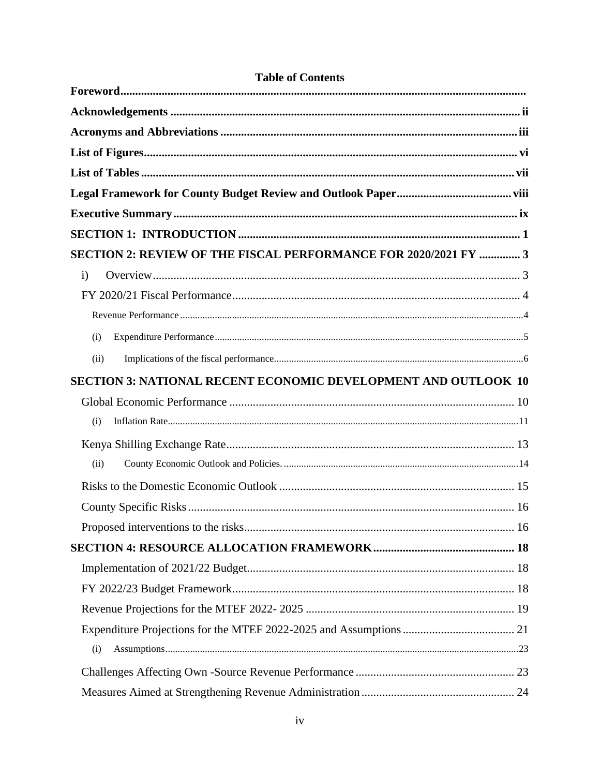| SECTION 2: REVIEW OF THE FISCAL PERFORMANCE FOR 2020/2021 FY  3       |  |
|-----------------------------------------------------------------------|--|
| $\mathbf{i}$                                                          |  |
|                                                                       |  |
|                                                                       |  |
| (i)                                                                   |  |
| (ii)                                                                  |  |
| <b>SECTION 3: NATIONAL RECENT ECONOMIC DEVELOPMENT AND OUTLOOK 10</b> |  |
|                                                                       |  |
| (i)                                                                   |  |
|                                                                       |  |
| (ii)                                                                  |  |
|                                                                       |  |
|                                                                       |  |
|                                                                       |  |
|                                                                       |  |
|                                                                       |  |
|                                                                       |  |
|                                                                       |  |
|                                                                       |  |
| (i)                                                                   |  |
|                                                                       |  |
|                                                                       |  |

# **Table of Contents**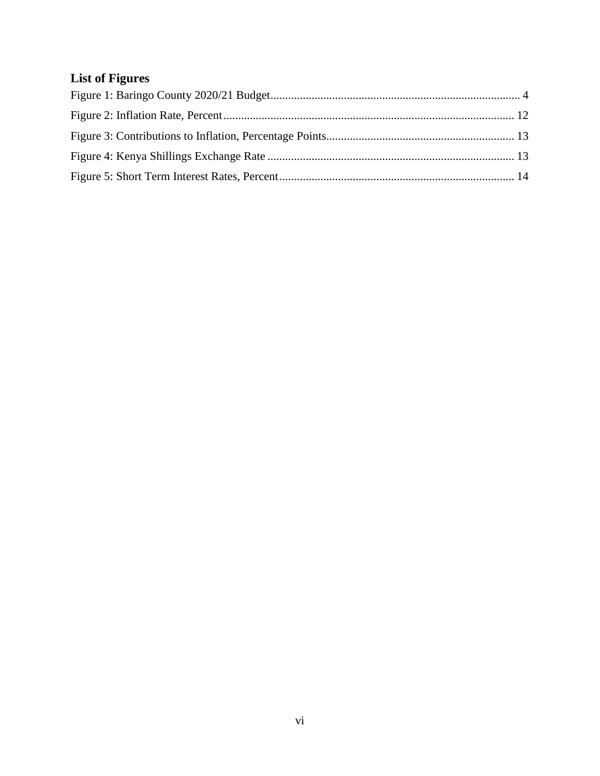# <span id="page-7-0"></span>**List of Figures**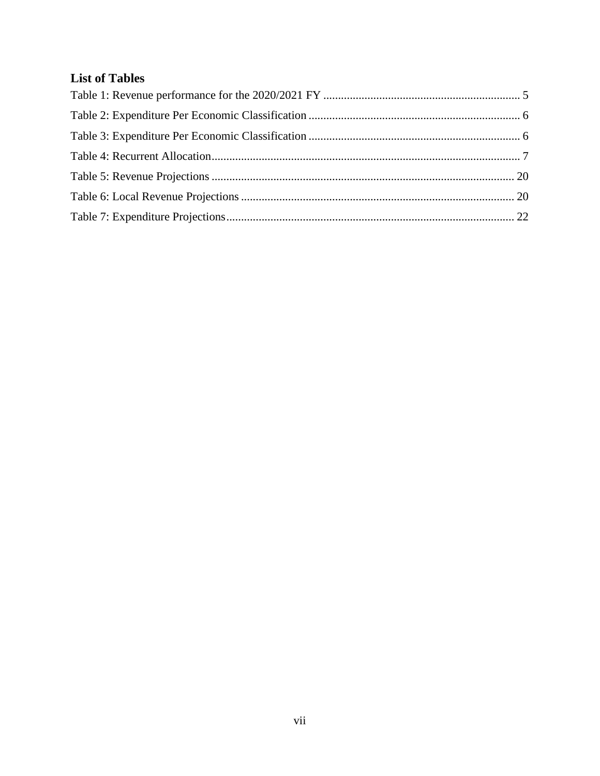# <span id="page-8-0"></span>**List of Tables**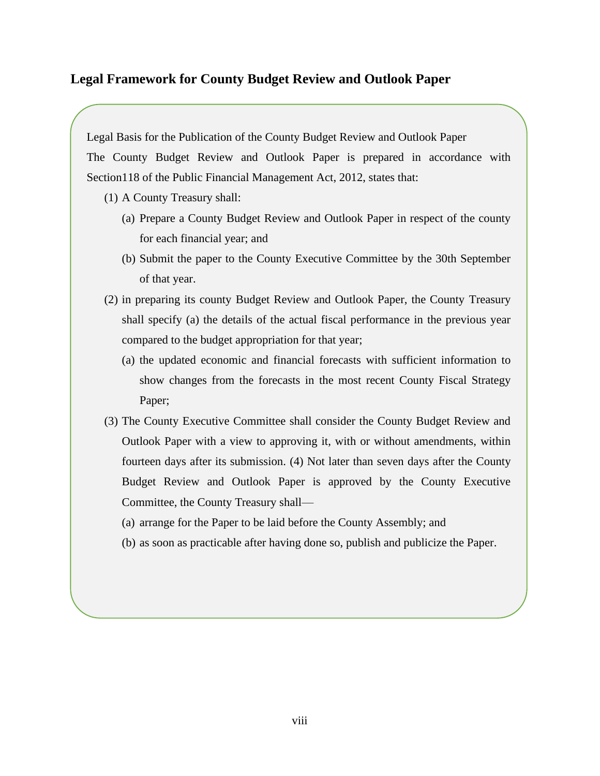# <span id="page-9-0"></span>**Legal Framework for County Budget Review and Outlook Paper**

Legal Basis for the Publication of the County Budget Review and Outlook Paper

The County Budget Review and Outlook Paper is prepared in accordance with Section118 of the Public Financial Management Act, 2012, states that:

- (1) A County Treasury shall:
	- (a) Prepare a County Budget Review and Outlook Paper in respect of the county for each financial year; and
	- (b) Submit the paper to the County Executive Committee by the 30th September of that year.
- (2) in preparing its county Budget Review and Outlook Paper, the County Treasury shall specify (a) the details of the actual fiscal performance in the previous year compared to the budget appropriation for that year;
	- (a) the updated economic and financial forecasts with sufficient information to show changes from the forecasts in the most recent County Fiscal Strategy Paper;
- (3) The County Executive Committee shall consider the County Budget Review and Outlook Paper with a view to approving it, with or without amendments, within fourteen days after its submission. (4) Not later than seven days after the County Budget Review and Outlook Paper is approved by the County Executive Committee, the County Treasury shall—
	- (a) arrange for the Paper to be laid before the County Assembly; and
	- (b) as soon as practicable after having done so, publish and publicize the Paper.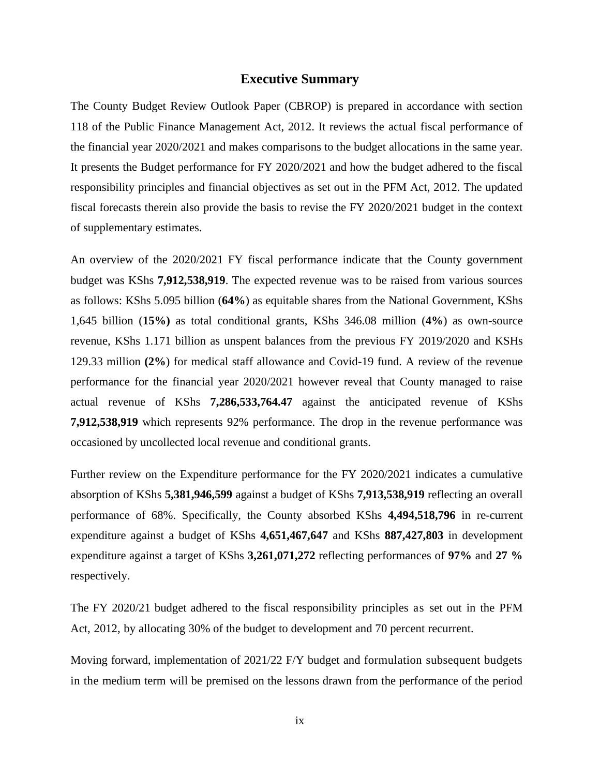### **Executive Summary**

<span id="page-10-0"></span>The County Budget Review Outlook Paper (CBROP) is prepared in accordance with section 118 of the Public Finance Management Act, 2012. It reviews the actual fiscal performance of the financial year 2020/2021 and makes comparisons to the budget allocations in the same year. It presents the Budget performance for FY 2020/2021 and how the budget adhered to the fiscal responsibility principles and financial objectives as set out in the PFM Act, 2012. The updated fiscal forecasts therein also provide the basis to revise the FY 2020/2021 budget in the context of supplementary estimates.

An overview of the 2020/2021 FY fiscal performance indicate that the County government budget was KShs **7,912,538,919**. The expected revenue was to be raised from various sources as follows: KShs 5.095 billion (**64%**) as equitable shares from the National Government, KShs 1,645 billion (**15%)** as total conditional grants, KShs 346.08 million (**4%**) as own-source revenue, KShs 1.171 billion as unspent balances from the previous FY 2019/2020 and KSHs 129.33 million **(2%**) for medical staff allowance and Covid-19 fund. A review of the revenue performance for the financial year 2020/2021 however reveal that County managed to raise actual revenue of KShs **7,286,533,764.47** against the anticipated revenue of KShs **7,912,538,919** which represents 92% performance. The drop in the revenue performance was occasioned by uncollected local revenue and conditional grants.

Further review on the Expenditure performance for the FY 2020/2021 indicates a cumulative absorption of KShs **5,381,946,599** against a budget of KShs **7,913,538,919** reflecting an overall performance of 68%. Specifically, the County absorbed KShs **4,494,518,796** in re-current expenditure against a budget of KShs **4,651,467,647** and KShs **887,427,803** in development expenditure against a target of KShs **3,261,071,272** reflecting performances of **97%** and **27 %**  respectively.

The FY 2020/21 budget adhered to the fiscal responsibility principles as set out in the PFM Act, 2012, by allocating 30% of the budget to development and 70 percent recurrent.

Moving forward, implementation of 2021/22 F/Y budget and formulation subsequent budgets in the medium term will be premised on the lessons drawn from the performance of the period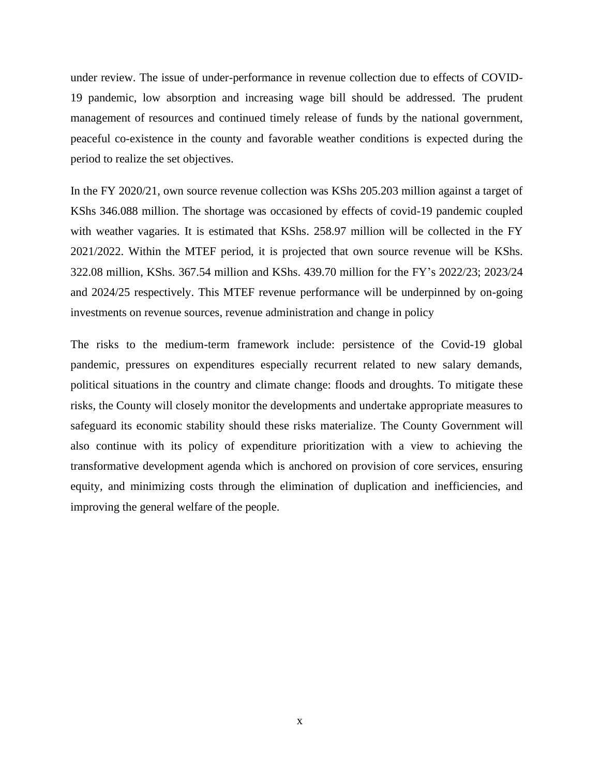under review. The issue of under-performance in revenue collection due to effects of COVID-19 pandemic, low absorption and increasing wage bill should be addressed. The prudent management of resources and continued timely release of funds by the national government, peaceful co-existence in the county and favorable weather conditions is expected during the period to realize the set objectives.

In the FY 2020/21, own source revenue collection was KShs 205.203 million against a target of KShs 346.088 million. The shortage was occasioned by effects of covid-19 pandemic coupled with weather vagaries. It is estimated that KShs. 258.97 million will be collected in the FY 2021/2022. Within the MTEF period, it is projected that own source revenue will be KShs. 322.08 million, KShs. 367.54 million and KShs. 439.70 million for the FY's 2022/23; 2023/24 and 2024/25 respectively. This MTEF revenue performance will be underpinned by on-going investments on revenue sources, revenue administration and change in policy

The risks to the medium-term framework include: persistence of the Covid-19 global pandemic, pressures on expenditures especially recurrent related to new salary demands, political situations in the country and climate change: floods and droughts. To mitigate these risks, the County will closely monitor the developments and undertake appropriate measures to safeguard its economic stability should these risks materialize. The County Government will also continue with its policy of expenditure prioritization with a view to achieving the transformative development agenda which is anchored on provision of core services, ensuring equity, and minimizing costs through the elimination of duplication and inefficiencies, and improving the general welfare of the people.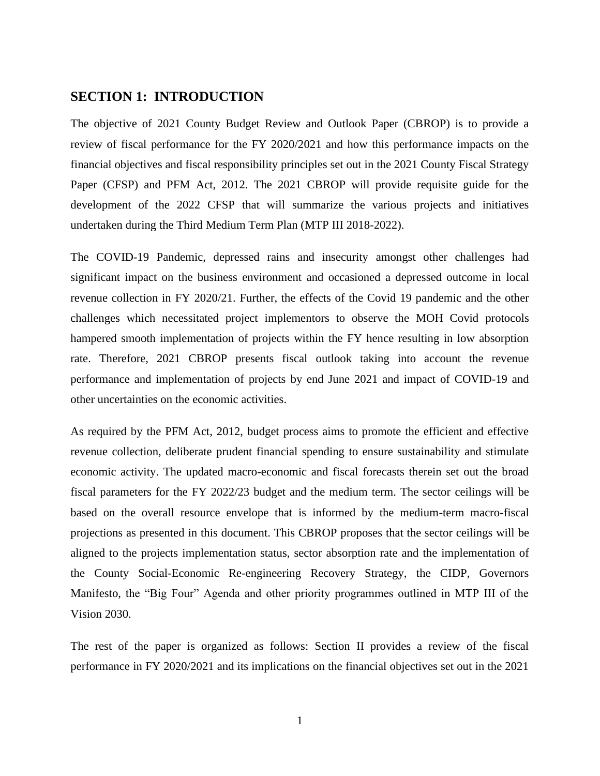## <span id="page-12-0"></span>**SECTION 1: INTRODUCTION**

The objective of 2021 County Budget Review and Outlook Paper (CBROP) is to provide a review of fiscal performance for the FY 2020/2021 and how this performance impacts on the financial objectives and fiscal responsibility principles set out in the 2021 County Fiscal Strategy Paper (CFSP) and PFM Act, 2012. The 2021 CBROP will provide requisite guide for the development of the 2022 CFSP that will summarize the various projects and initiatives undertaken during the Third Medium Term Plan (MTP III 2018-2022).

The COVID-19 Pandemic, depressed rains and insecurity amongst other challenges had significant impact on the business environment and occasioned a depressed outcome in local revenue collection in FY 2020/21. Further, the effects of the Covid 19 pandemic and the other challenges which necessitated project implementors to observe the MOH Covid protocols hampered smooth implementation of projects within the FY hence resulting in low absorption rate. Therefore, 2021 CBROP presents fiscal outlook taking into account the revenue performance and implementation of projects by end June 2021 and impact of COVID-19 and other uncertainties on the economic activities.

As required by the PFM Act, 2012, budget process aims to promote the efficient and effective revenue collection, deliberate prudent financial spending to ensure sustainability and stimulate economic activity. The updated macro-economic and fiscal forecasts therein set out the broad fiscal parameters for the FY 2022/23 budget and the medium term. The sector ceilings will be based on the overall resource envelope that is informed by the medium-term macro-fiscal projections as presented in this document. This CBROP proposes that the sector ceilings will be aligned to the projects implementation status, sector absorption rate and the implementation of the County Social-Economic Re-engineering Recovery Strategy, the CIDP, Governors Manifesto, the "Big Four" Agenda and other priority programmes outlined in MTP III of the Vision 2030.

The rest of the paper is organized as follows: Section II provides a review of the fiscal performance in FY 2020/2021 and its implications on the financial objectives set out in the 2021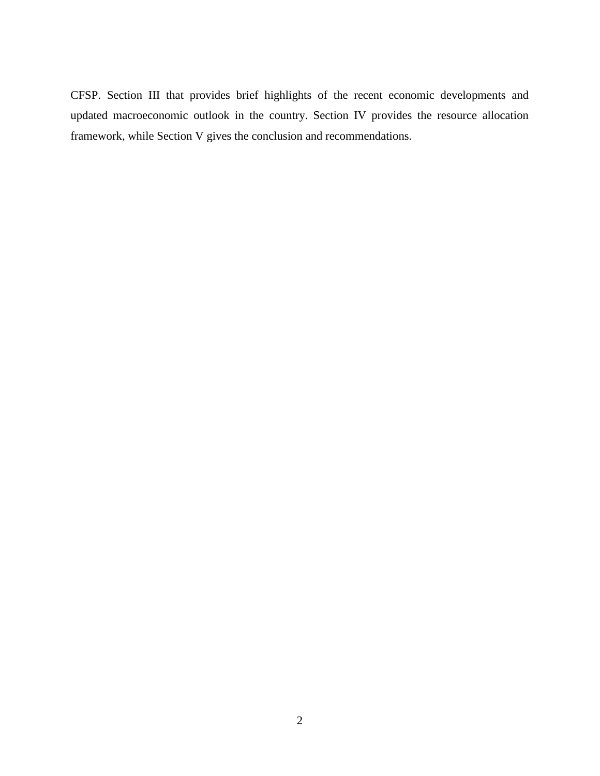CFSP. Section III that provides brief highlights of the recent economic developments and updated macroeconomic outlook in the country. Section IV provides the resource allocation framework, while Section V gives the conclusion and recommendations.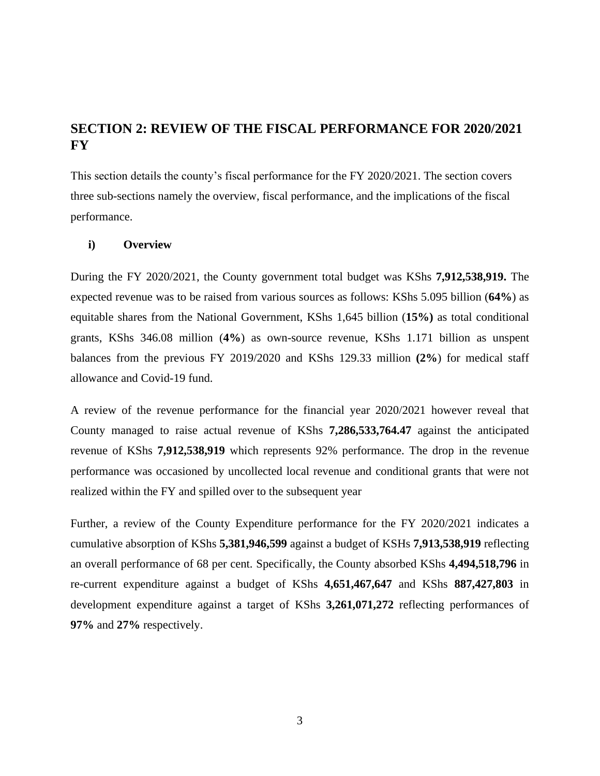# <span id="page-14-0"></span>**SECTION 2: REVIEW OF THE FISCAL PERFORMANCE FOR 2020/2021 FY**

This section details the county's fiscal performance for the FY 2020/2021. The section covers three sub-sections namely the overview, fiscal performance, and the implications of the fiscal performance.

### <span id="page-14-1"></span>**i) Overview**

During the FY 2020/2021, the County government total budget was KShs **7,912,538,919.** The expected revenue was to be raised from various sources as follows: KShs 5.095 billion (**64%**) as equitable shares from the National Government, KShs 1,645 billion (**15%)** as total conditional grants, KShs 346.08 million (**4%**) as own-source revenue, KShs 1.171 billion as unspent balances from the previous FY 2019/2020 and KShs 129.33 million **(2%**) for medical staff allowance and Covid-19 fund.

A review of the revenue performance for the financial year 2020/2021 however reveal that County managed to raise actual revenue of KShs **7,286,533,764.47** against the anticipated revenue of KShs **7,912,538,919** which represents 92% performance. The drop in the revenue performance was occasioned by uncollected local revenue and conditional grants that were not realized within the FY and spilled over to the subsequent year

Further, a review of the County Expenditure performance for the FY 2020/2021 indicates a cumulative absorption of KShs **5,381,946,599** against a budget of KSHs **7,913,538,919** reflecting an overall performance of 68 per cent. Specifically, the County absorbed KShs **4,494,518,796** in re-current expenditure against a budget of KShs **4,651,467,647** and KShs **887,427,803** in development expenditure against a target of KShs **3,261,071,272** reflecting performances of **97%** and **27%** respectively.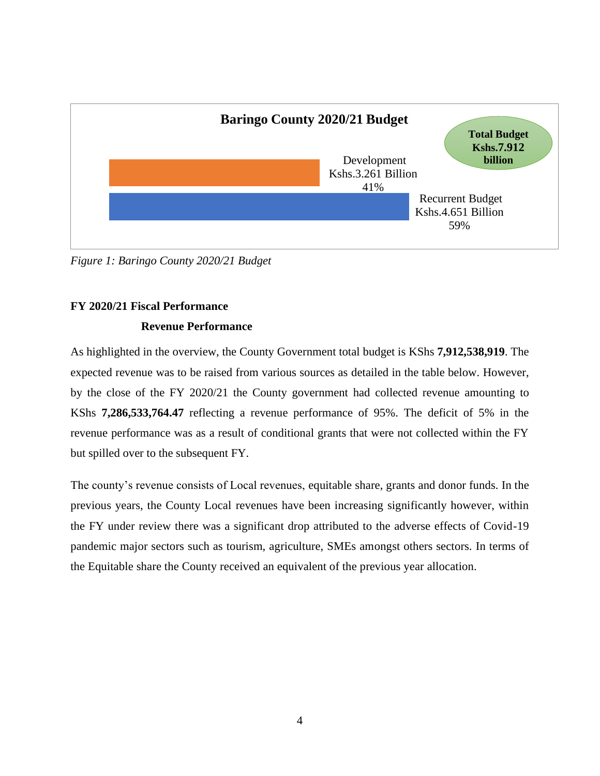

<span id="page-15-2"></span>*Figure 1: Baringo County 2020/21 Budget*

## <span id="page-15-1"></span><span id="page-15-0"></span>**FY 2020/21 Fiscal Performance**

### **Revenue Performance**

As highlighted in the overview, the County Government total budget is KShs **7,912,538,919**. The expected revenue was to be raised from various sources as detailed in the table below. However, by the close of the FY 2020/21 the County government had collected revenue amounting to KShs **7,286,533,764.47** reflecting a revenue performance of 95%. The deficit of 5% in the revenue performance was as a result of conditional grants that were not collected within the FY but spilled over to the subsequent FY.

The county's revenue consists of Local revenues, equitable share, grants and donor funds. In the previous years, the County Local revenues have been increasing significantly however, within the FY under review there was a significant drop attributed to the adverse effects of Covid-19 pandemic major sectors such as tourism, agriculture, SMEs amongst others sectors. In terms of the Equitable share the County received an equivalent of the previous year allocation.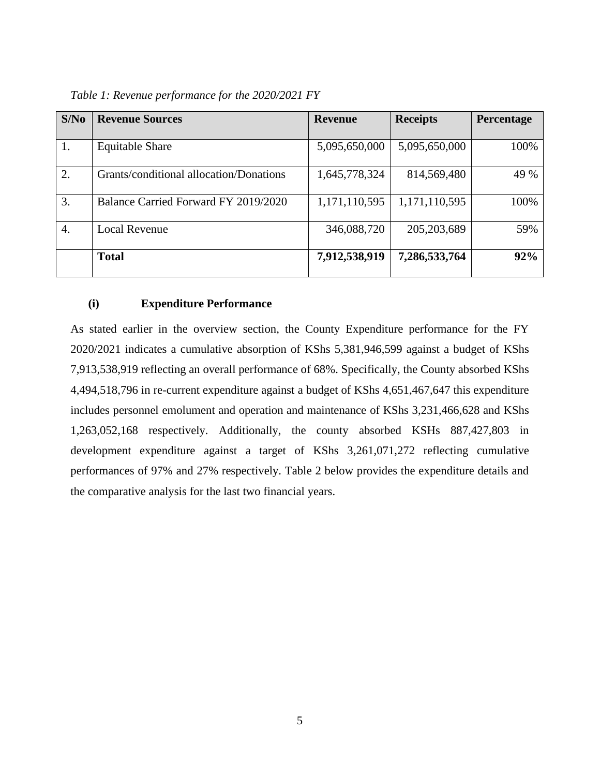| S/No | <b>Revenue Sources</b>                  | <b>Revenue</b> | <b>Receipts</b> | Percentage |
|------|-----------------------------------------|----------------|-----------------|------------|
|      |                                         |                |                 |            |
| 1.   | <b>Equitable Share</b>                  | 5,095,650,000  | 5,095,650,000   | 100%       |
| 2.   | Grants/conditional allocation/Donations | 1,645,778,324  | 814,569,480     | 49 %       |
| 3.   | Balance Carried Forward FY 2019/2020    | 1,171,110,595  | 1,171,110,595   | 100%       |
| 4.   | <b>Local Revenue</b>                    | 346,088,720    | 205, 203, 689   | 59%        |
|      | <b>Total</b>                            | 7,912,538,919  | 7,286,533,764   | 92%        |

<span id="page-16-1"></span>*Table 1: Revenue performance for the 2020/2021 FY*

## <span id="page-16-0"></span>**(i) Expenditure Performance**

As stated earlier in the overview section, the County Expenditure performance for the FY 2020/2021 indicates a cumulative absorption of KShs 5,381,946,599 against a budget of KShs 7,913,538,919 reflecting an overall performance of 68%. Specifically, the County absorbed KShs 4,494,518,796 in re-current expenditure against a budget of KShs 4,651,467,647 this expenditure includes personnel emolument and operation and maintenance of KShs 3,231,466,628 and KShs 1,263,052,168 respectively. Additionally, the county absorbed KSHs 887,427,803 in development expenditure against a target of KShs 3,261,071,272 reflecting cumulative performances of 97% and 27% respectively. Table 2 below provides the expenditure details and the comparative analysis for the last two financial years.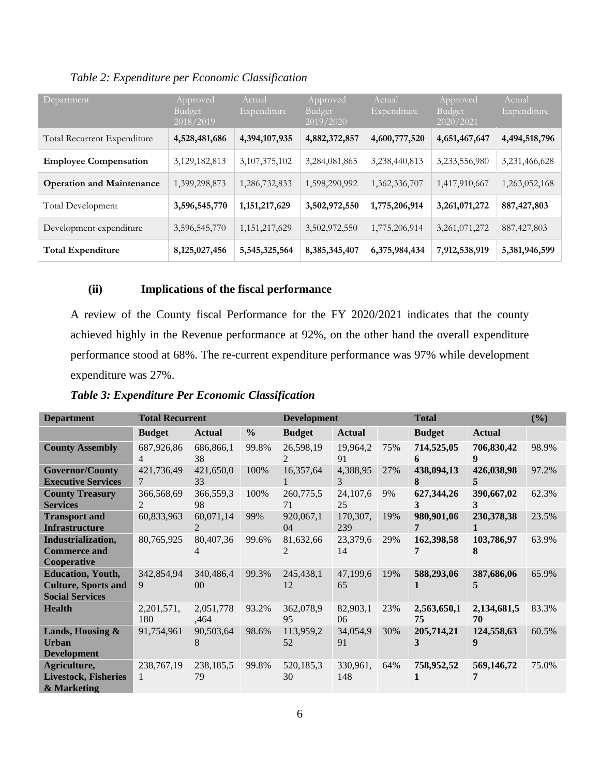<span id="page-17-1"></span>*Table 2: Expenditure per Economic Classification*

| Department                       | Approved<br><b>Budget</b><br>2018/2019 | Actual<br>Expenditure | Approved<br><b>Budget</b><br>2019/2020 | Actual<br>Expenditure | Approved<br><b>Budget</b><br>2020/2021 | Actual<br>Expenditure |
|----------------------------------|----------------------------------------|-----------------------|----------------------------------------|-----------------------|----------------------------------------|-----------------------|
| Total Recurrent Expenditure      | 4,528,481,686                          | 4,394,107,935         | 4,882,372,857                          | 4,600,777,520         | 4,651,467,647                          | 4,494,518,796         |
| <b>Employee Compensation</b>     | 3,129,182,813                          | 3, 107, 375, 102      | 3,284,081,865                          | 3,238,440,813         | 3,233,556,980                          | 3,231,466,628         |
| <b>Operation and Maintenance</b> | 1,399,298,873                          | 1,286,732,833         | 1,598,290,992                          | 1,362,336,707         | 1,417,910,667                          | 1,263,052,168         |
| Total Development                | 3,596,545,770                          | 1, 151, 217, 629      | 3,502,972,550                          | 1,775,206,914         | 3,261,071,272                          | 887, 427, 803         |
| Development expenditure          | 3,596,545,770                          | 1, 151, 217, 629      | 3,502,972,550                          | 1,775,206,914         | 3,261,071,272                          | 887, 427, 803         |
| <b>Total Expenditure</b>         | 8,125,027,456                          | 5,545,325,564         | 8, 385, 345, 407                       | 6,375,984,434         | 7,912,538,919                          | 5,381,946,599         |

# <span id="page-17-0"></span>**(ii) Implications of the fiscal performance**

A review of the County fiscal Performance for the FY 2020/2021 indicates that the county achieved highly in the Revenue performance at 92%, on the other hand the overall expenditure performance stood at 68%. The re-current expenditure performance was 97% while development expenditure was 27%.

<span id="page-17-2"></span>*Table 3: Expenditure Per Economic Classification*

| <b>Department</b>                                                                | <b>Total Recurrent</b>       |                             | <b>Development</b> |                             |                  | <b>Total</b> | (%)               |                   |       |
|----------------------------------------------------------------------------------|------------------------------|-----------------------------|--------------------|-----------------------------|------------------|--------------|-------------------|-------------------|-------|
|                                                                                  | <b>Budget</b>                | <b>Actual</b>               | $\frac{0}{0}$      | <b>Budget</b>               | <b>Actual</b>    |              | <b>Budget</b>     | <b>Actual</b>     |       |
| <b>County Assembly</b>                                                           | 687,926,86<br>4              | 686,866,1<br>38             | 99.8%              | 26,598,19<br>2              | 19,964,2<br>91   | 75%          | 714,525,05<br>6   | 706,830,42<br>9   | 98.9% |
| <b>Governor/County</b><br><b>Executive Services</b>                              | 421,736,49<br>7              | 421,650,0<br>33             | 100%               | 16,357,64                   | 4,388,95<br>3    | 27%          | 438,094,13<br>8   | 426,038,98<br>5.  | 97.2% |
| <b>County Treasury</b><br><b>Services</b>                                        | 366,568,69<br>$\overline{2}$ | 366,559,3<br>98             | 100%               | 260,775,5<br>71             | 24, 107, 6<br>25 | 9%           | 627,344,26<br>3   | 390,667,02<br>3   | 62.3% |
| <b>Transport and</b><br><b>Infrastructure</b>                                    | 60,833,963                   | 60,071,14<br>2              | 99%                | 920,067,1<br>04             | 170,307,<br>239  | 19%          | 980,901,06<br>7   | 230,378,38        | 23.5% |
| Industrialization,<br><b>Commerce and</b><br>Cooperative                         | 80,765,925                   | 80,407,36<br>4              | 99.6%              | 81,632,66<br>$\mathfrak{D}$ | 23,379,6<br>14   | 29%          | 162,398,58        | 103,786,97<br>8   | 63.9% |
| <b>Education, Youth,</b><br><b>Culture, Sports and</b><br><b>Social Services</b> | 342,854,94<br>9              | 340,486,4<br>0 <sup>0</sup> | 99.3%              | 245,438,1<br>12             | 47,199,6<br>65   | 19%          | 588,293,06        | 387,686,06<br>5   | 65.9% |
| <b>Health</b>                                                                    | 2, 201, 571,<br>180          | 2,051,778<br>,464           | 93.2%              | 362,078,9<br>95             | 82,903,1<br>06   | 23%          | 2,563,650,1<br>75 | 2,134,681,5<br>70 | 83.3% |
| <b>Lands, Housing &amp;</b><br>Urban<br><b>Development</b>                       | 91,754,961                   | 90,503,64<br>8              | 98.6%              | 113,959,2<br>52             | 34,054,9<br>91   | 30%          | 205,714,21<br>3   | 124,558,63<br>9   | 60.5% |
| Agriculture,<br><b>Livestock, Fisheries</b><br>& Marketing                       | 238, 767, 19                 | 238,185,5<br>79             | 99.8%              | 520,185,3<br>30             | 330,961,<br>148  | 64%          | 758,952,52        | 569,146,72<br>7   | 75.0% |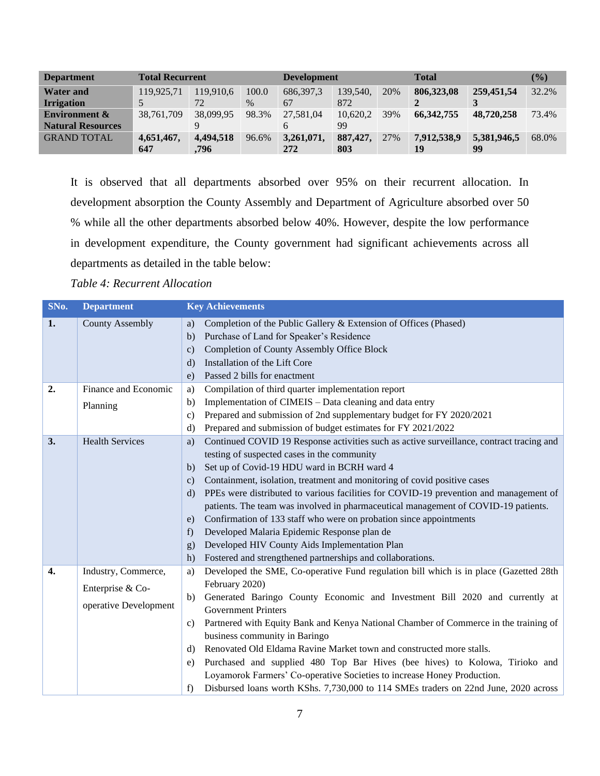| <b>Department</b>        | <b>Total Recurrent</b> |           | <b>Development</b> |             |          | <b>Total</b> | $($ %)       |             |       |
|--------------------------|------------------------|-----------|--------------------|-------------|----------|--------------|--------------|-------------|-------|
| <b>Water and</b>         | 119,925,71             | 119,910.6 | 100.0              | 686, 397, 3 | 139.540. | 20%          | 806,323,08   | 259,451,54  | 32.2% |
| <b>Irrigation</b>        |                        | 72        | $\%$               | 67          | 872      |              |              |             |       |
| <b>Environment &amp;</b> | 38,761,709             | 38,099.95 | 98.3%              | 27,581,04   | 10.620.2 | 39%          | 66, 342, 755 | 48,720,258  | 73.4% |
| <b>Natural Resources</b> |                        | 9         |                    |             | 99       |              |              |             |       |
| <b>GRAND TOTAL</b>       | 4,651,467,             | 4,494,518 | 96.6%              | 3,261,071,  | 887,427. | 27%          | 7,912,538,9  | 5,381,946,5 | 68.0% |
|                          | 647                    | .796      |                    | 272         | 803      |              | 19           | 99          |       |

It is observed that all departments absorbed over 95% on their recurrent allocation. In development absorption the County Assembly and Department of Agriculture absorbed over 50 % while all the other departments absorbed below 40%. However, despite the low performance in development expenditure, the County government had significant achievements across all departments as detailed in the table below:

<span id="page-18-0"></span>*Table 4: Recurrent Allocation*

| SNo. | <b>Department</b>      | <b>Key Achievements</b>                                                                          |
|------|------------------------|--------------------------------------------------------------------------------------------------|
| 1.   | <b>County Assembly</b> | Completion of the Public Gallery & Extension of Offices (Phased)<br>a)                           |
|      |                        | Purchase of Land for Speaker's Residence<br>$\mathbf{b}$                                         |
|      |                        | <b>Completion of County Assembly Office Block</b><br>$\mathbf{c}$                                |
|      |                        | Installation of the Lift Core<br>$\mathbf{d}$                                                    |
|      |                        | Passed 2 bills for enactment<br>$\epsilon$ )                                                     |
| 2.   | Finance and Economic   | Compilation of third quarter implementation report<br>a)                                         |
|      | Planning               | Implementation of CIMEIS – Data cleaning and data entry<br>$\mathbf{b}$                          |
|      |                        | Prepared and submission of 2nd supplementary budget for FY 2020/2021<br>$\mathbf{c})$            |
|      |                        | Prepared and submission of budget estimates for FY 2021/2022<br>d)                               |
| 3.   | <b>Health Services</b> | Continued COVID 19 Response activities such as active surveillance, contract tracing and<br>a)   |
|      |                        | testing of suspected cases in the community                                                      |
|      |                        | Set up of Covid-19 HDU ward in BCRH ward 4<br>b)                                                 |
|      |                        | Containment, isolation, treatment and monitoring of covid positive cases<br>$\mathbf{c})$        |
|      |                        | PPEs were distributed to various facilities for COVID-19 prevention and management of<br>$\rm d$ |
|      |                        | patients. The team was involved in pharmaceutical management of COVID-19 patients.               |
|      |                        | Confirmation of 133 staff who were on probation since appointments<br>e)                         |
|      |                        | Developed Malaria Epidemic Response plan de<br>f                                                 |
|      |                        | Developed HIV County Aids Implementation Plan<br>g)                                              |
|      |                        | Fostered and strengthened partnerships and collaborations.<br>h)                                 |
| 4.   | Industry, Commerce,    | Developed the SME, Co-operative Fund regulation bill which is in place (Gazetted 28th<br>a)      |
|      | Enterprise & Co-       | February 2020)                                                                                   |
|      | operative Development  | Generated Baringo County Economic and Investment Bill 2020 and currently at<br>b)                |
|      |                        | <b>Government Printers</b>                                                                       |
|      |                        | Partnered with Equity Bank and Kenya National Chamber of Commerce in the training of<br>c)       |
|      |                        | business community in Baringo                                                                    |
|      |                        | Renovated Old Eldama Ravine Market town and constructed more stalls.<br>d)                       |
|      |                        | Purchased and supplied 480 Top Bar Hives (bee hives) to Kolowa, Tirioko and<br>e)                |
|      |                        | Loyamorok Farmers' Co-operative Societies to increase Honey Production.                          |
|      |                        | Disbursed loans worth KShs. 7,730,000 to 114 SMEs traders on 22nd June, 2020 across<br>f         |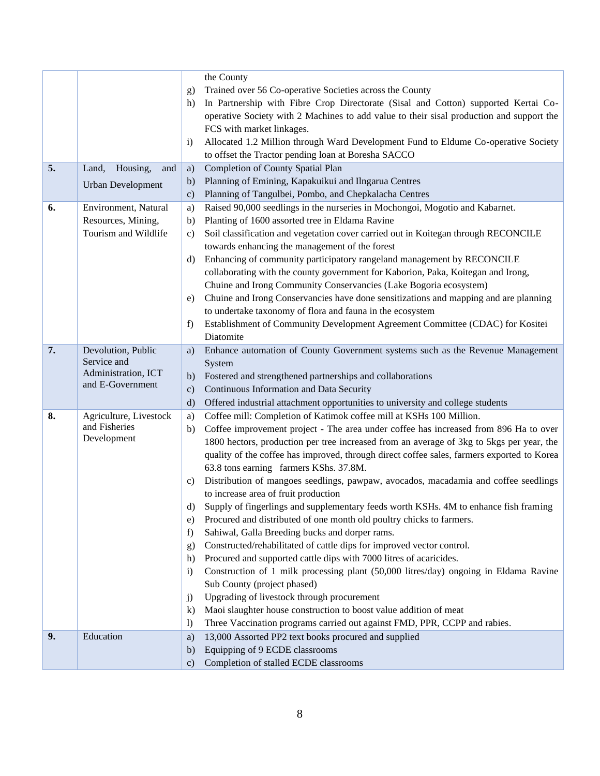|    |                                         | g)<br>h)         | the County<br>Trained over 56 Co-operative Societies across the County<br>In Partnership with Fibre Crop Directorate (Sisal and Cotton) supported Kertai Co-<br>operative Society with 2 Machines to add value to their sisal production and support the<br>FCS with market linkages. |
|----|-----------------------------------------|------------------|---------------------------------------------------------------------------------------------------------------------------------------------------------------------------------------------------------------------------------------------------------------------------------------|
|    |                                         | $\mathbf{i}$     | Allocated 1.2 Million through Ward Development Fund to Eldume Co-operative Society<br>to offset the Tractor pending loan at Boresha SACCO                                                                                                                                             |
| 5. | Housing,<br>Land,<br>and                | a)               | <b>Completion of County Spatial Plan</b>                                                                                                                                                                                                                                              |
|    | <b>Urban Development</b>                | b)               | Planning of Emining, Kapakuikui and Ilngarua Centres                                                                                                                                                                                                                                  |
|    |                                         | $\mathbf{c})$    | Planning of Tangulbei, Pombo, and Chepkalacha Centres                                                                                                                                                                                                                                 |
| 6. | Environment, Natural                    | a)               | Raised 90,000 seedlings in the nurseries in Mochongoi, Mogotio and Kabarnet.                                                                                                                                                                                                          |
|    | Resources, Mining,                      | $\mathbf{b}$     | Planting of 1600 assorted tree in Eldama Ravine                                                                                                                                                                                                                                       |
|    | Tourism and Wildlife                    | $\mathbf{c})$    | Soil classification and vegetation cover carried out in Koitegan through RECONCILE                                                                                                                                                                                                    |
|    |                                         |                  | towards enhancing the management of the forest                                                                                                                                                                                                                                        |
|    |                                         | d)               | Enhancing of community participatory rangeland management by RECONCILE<br>collaborating with the county government for Kaborion, Paka, Koitegan and Irong,<br>Chuine and Irong Community Conservancies (Lake Bogoria ecosystem)                                                       |
|    |                                         | e)               | Chuine and Irong Conservancies have done sensitizations and mapping and are planning                                                                                                                                                                                                  |
|    |                                         |                  | to undertake taxonomy of flora and fauna in the ecosystem                                                                                                                                                                                                                             |
|    |                                         | f)               | Establishment of Community Development Agreement Committee (CDAC) for Kositei                                                                                                                                                                                                         |
|    |                                         |                  | Diatomite                                                                                                                                                                                                                                                                             |
| 7. | Devolution, Public                      | a)               | Enhance automation of County Government systems such as the Revenue Management                                                                                                                                                                                                        |
|    | Service and                             |                  | System                                                                                                                                                                                                                                                                                |
|    | Administration, ICT<br>and E-Government | b)               | Fostered and strengthened partnerships and collaborations                                                                                                                                                                                                                             |
|    |                                         | $\mathbf{c})$    | Continuous Information and Data Security                                                                                                                                                                                                                                              |
|    |                                         | $\rm d)$         | Offered industrial attachment opportunities to university and college students                                                                                                                                                                                                        |
| 8. | Agriculture, Livestock                  | a)               | Coffee mill: Completion of Katimok coffee mill at KSHs 100 Million.                                                                                                                                                                                                                   |
|    | and Fisheries<br>Development            | b)               | Coffee improvement project - The area under coffee has increased from 896 Ha to over                                                                                                                                                                                                  |
|    |                                         |                  | 1800 hectors, production per tree increased from an average of 3kg to 5kgs per year, the                                                                                                                                                                                              |
|    |                                         |                  | quality of the coffee has improved, through direct coffee sales, farmers exported to Korea                                                                                                                                                                                            |
|    |                                         |                  | 63.8 tons earning farmers KShs. 37.8M.                                                                                                                                                                                                                                                |
|    |                                         | $\mathbf{c})$    | Distribution of mangoes seedlings, pawpaw, avocados, macadamia and coffee seedlings<br>to increase area of fruit production                                                                                                                                                           |
|    |                                         | d)               | Supply of fingerlings and supplementary feeds worth KSHs. 4M to enhance fish framing                                                                                                                                                                                                  |
|    |                                         | e)               | Procured and distributed of one month old poultry chicks to farmers.                                                                                                                                                                                                                  |
|    |                                         | f)               | Sahiwal, Galla Breeding bucks and dorper rams.                                                                                                                                                                                                                                        |
|    |                                         | g)               | Constructed/rehabilitated of cattle dips for improved vector control.                                                                                                                                                                                                                 |
|    |                                         | h)               | Procured and supported cattle dips with 7000 litres of acaricides.                                                                                                                                                                                                                    |
|    |                                         | $\mathbf{i}$     | Construction of 1 milk processing plant (50,000 litres/day) ongoing in Eldama Ravine                                                                                                                                                                                                  |
|    |                                         |                  | Sub County (project phased)                                                                                                                                                                                                                                                           |
|    |                                         | $\mathbf{j}$     | Upgrading of livestock through procurement                                                                                                                                                                                                                                            |
|    |                                         | $\bf k$          | Maoi slaughter house construction to boost value addition of meat                                                                                                                                                                                                                     |
|    |                                         | $\left( \right)$ | Three Vaccination programs carried out against FMD, PPR, CCPP and rabies.                                                                                                                                                                                                             |
| 9. | Education                               | a)               | 13,000 Assorted PP2 text books procured and supplied                                                                                                                                                                                                                                  |
|    |                                         | $\mathbf{b}$     | Equipping of 9 ECDE classrooms                                                                                                                                                                                                                                                        |
|    |                                         | $\mathbf{c})$    | Completion of stalled ECDE classrooms                                                                                                                                                                                                                                                 |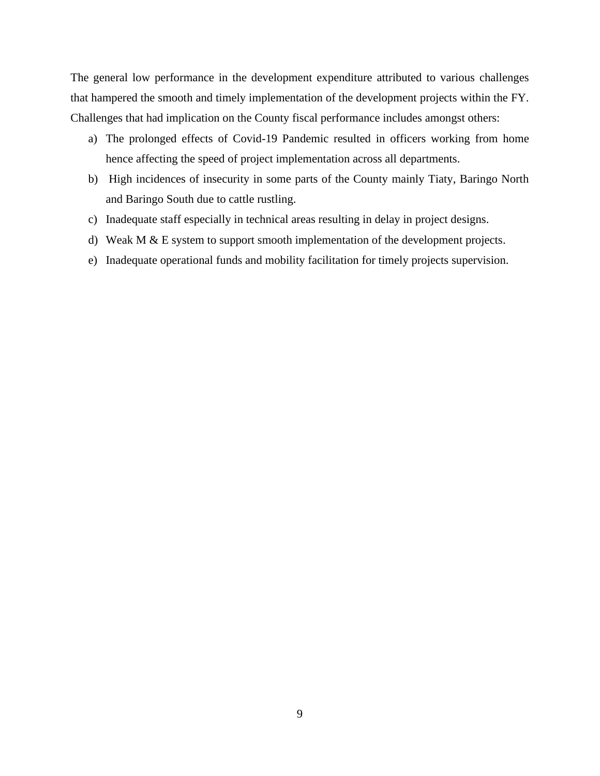The general low performance in the development expenditure attributed to various challenges that hampered the smooth and timely implementation of the development projects within the FY. Challenges that had implication on the County fiscal performance includes amongst others:

- a) The prolonged effects of Covid-19 Pandemic resulted in officers working from home hence affecting the speed of project implementation across all departments.
- b) High incidences of insecurity in some parts of the County mainly Tiaty, Baringo North and Baringo South due to cattle rustling.
- c) Inadequate staff especially in technical areas resulting in delay in project designs.
- d) Weak M & E system to support smooth implementation of the development projects.
- e) Inadequate operational funds and mobility facilitation for timely projects supervision.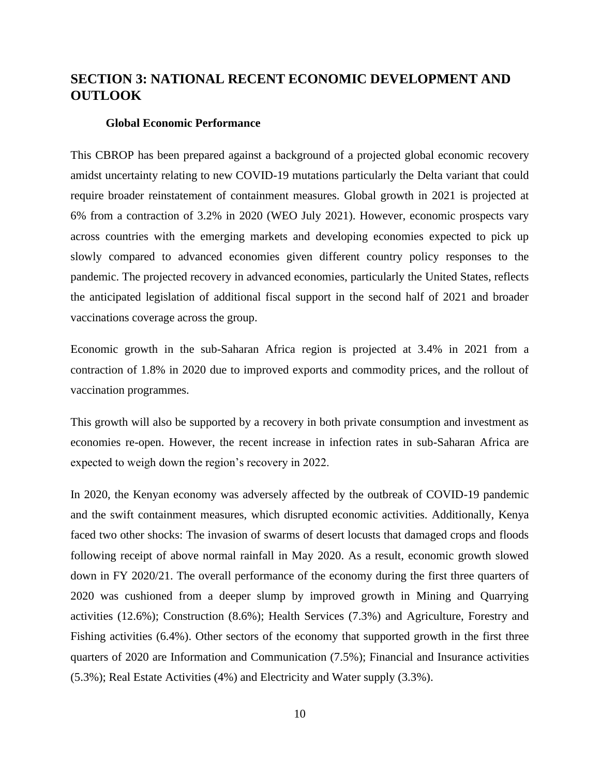# <span id="page-21-0"></span>**SECTION 3: NATIONAL RECENT ECONOMIC DEVELOPMENT AND OUTLOOK**

#### **Global Economic Performance**

<span id="page-21-1"></span>This CBROP has been prepared against a background of a projected global economic recovery amidst uncertainty relating to new COVID-19 mutations particularly the Delta variant that could require broader reinstatement of containment measures. Global growth in 2021 is projected at 6% from a contraction of 3.2% in 2020 (WEO July 2021). However, economic prospects vary across countries with the emerging markets and developing economies expected to pick up slowly compared to advanced economies given different country policy responses to the pandemic. The projected recovery in advanced economies, particularly the United States, reflects the anticipated legislation of additional fiscal support in the second half of 2021 and broader vaccinations coverage across the group.

Economic growth in the sub-Saharan Africa region is projected at 3.4% in 2021 from a contraction of 1.8% in 2020 due to improved exports and commodity prices, and the rollout of vaccination programmes.

This growth will also be supported by a recovery in both private consumption and investment as economies re-open. However, the recent increase in infection rates in sub-Saharan Africa are expected to weigh down the region's recovery in 2022.

In 2020, the Kenyan economy was adversely affected by the outbreak of COVID-19 pandemic and the swift containment measures, which disrupted economic activities. Additionally, Kenya faced two other shocks: The invasion of swarms of desert locusts that damaged crops and floods following receipt of above normal rainfall in May 2020. As a result, economic growth slowed down in FY 2020/21. The overall performance of the economy during the first three quarters of 2020 was cushioned from a deeper slump by improved growth in Mining and Quarrying activities (12.6%); Construction (8.6%); Health Services (7.3%) and Agriculture, Forestry and Fishing activities (6.4%). Other sectors of the economy that supported growth in the first three quarters of 2020 are Information and Communication (7.5%); Financial and Insurance activities (5.3%); Real Estate Activities (4%) and Electricity and Water supply (3.3%).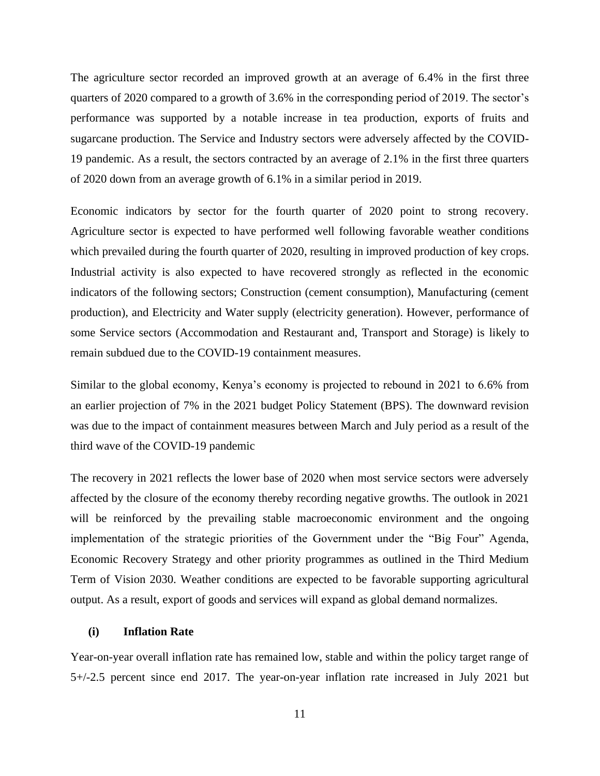The agriculture sector recorded an improved growth at an average of 6.4% in the first three quarters of 2020 compared to a growth of 3.6% in the corresponding period of 2019. The sector's performance was supported by a notable increase in tea production, exports of fruits and sugarcane production. The Service and Industry sectors were adversely affected by the COVID-19 pandemic. As a result, the sectors contracted by an average of 2.1% in the first three quarters of 2020 down from an average growth of 6.1% in a similar period in 2019.

Economic indicators by sector for the fourth quarter of 2020 point to strong recovery. Agriculture sector is expected to have performed well following favorable weather conditions which prevailed during the fourth quarter of 2020, resulting in improved production of key crops. Industrial activity is also expected to have recovered strongly as reflected in the economic indicators of the following sectors; Construction (cement consumption), Manufacturing (cement production), and Electricity and Water supply (electricity generation). However, performance of some Service sectors (Accommodation and Restaurant and, Transport and Storage) is likely to remain subdued due to the COVID-19 containment measures.

Similar to the global economy, Kenya's economy is projected to rebound in 2021 to 6.6% from an earlier projection of 7% in the 2021 budget Policy Statement (BPS). The downward revision was due to the impact of containment measures between March and July period as a result of the third wave of the COVID-19 pandemic

The recovery in 2021 reflects the lower base of 2020 when most service sectors were adversely affected by the closure of the economy thereby recording negative growths. The outlook in 2021 will be reinforced by the prevailing stable macroeconomic environment and the ongoing implementation of the strategic priorities of the Government under the "Big Four" Agenda, Economic Recovery Strategy and other priority programmes as outlined in the Third Medium Term of Vision 2030. Weather conditions are expected to be favorable supporting agricultural output. As a result, export of goods and services will expand as global demand normalizes.

### <span id="page-22-0"></span>**(i) Inflation Rate**

Year-on-year overall inflation rate has remained low, stable and within the policy target range of 5+/-2.5 percent since end 2017. The year-on-year inflation rate increased in July 2021 but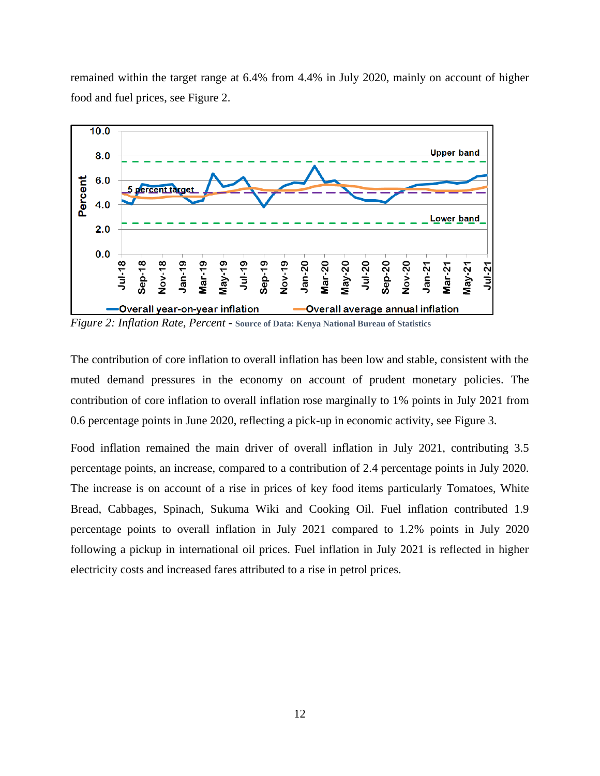remained within the target range at 6.4% from 4.4% in July 2020, mainly on account of higher food and fuel prices, see Figure 2.



<span id="page-23-0"></span>*Figure 2: Inflation Rate, Percent -* **Source of Data: Kenya National Bureau of Statistics**

The contribution of core inflation to overall inflation has been low and stable, consistent with the muted demand pressures in the economy on account of prudent monetary policies. The contribution of core inflation to overall inflation rose marginally to 1% points in July 2021 from 0.6 percentage points in June 2020, reflecting a pick-up in economic activity, see Figure 3.

Food inflation remained the main driver of overall inflation in July 2021, contributing 3.5 percentage points, an increase, compared to a contribution of 2.4 percentage points in July 2020. The increase is on account of a rise in prices of key food items particularly Tomatoes, White Bread, Cabbages, Spinach, Sukuma Wiki and Cooking Oil. Fuel inflation contributed 1.9 percentage points to overall inflation in July 2021 compared to 1.2% points in July 2020 following a pickup in international oil prices. Fuel inflation in July 2021 is reflected in higher electricity costs and increased fares attributed to a rise in petrol prices.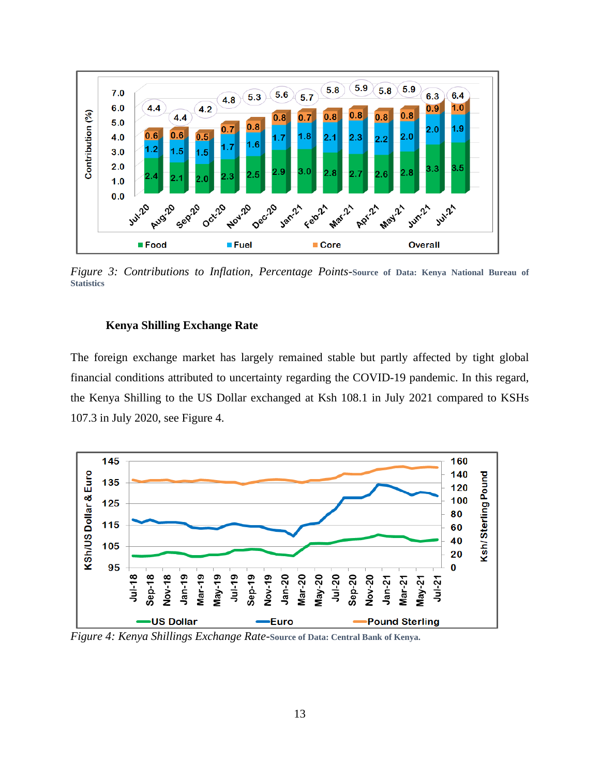

<span id="page-24-1"></span>*Figure 3: Contributions to Inflation, Percentage Points-***Source of Data: Kenya National Bureau of Statistics**

## **Kenya Shilling Exchange Rate**

<span id="page-24-0"></span>The foreign exchange market has largely remained stable but partly affected by tight global financial conditions attributed to uncertainty regarding the COVID-19 pandemic. In this regard, the Kenya Shilling to the US Dollar exchanged at Ksh 108.1 in July 2021 compared to KSHs 107.3 in July 2020, see Figure 4.



<span id="page-24-2"></span>*Figure 4: Kenya Shillings Exchange Rate-***Source of Data: Central Bank of Kenya.**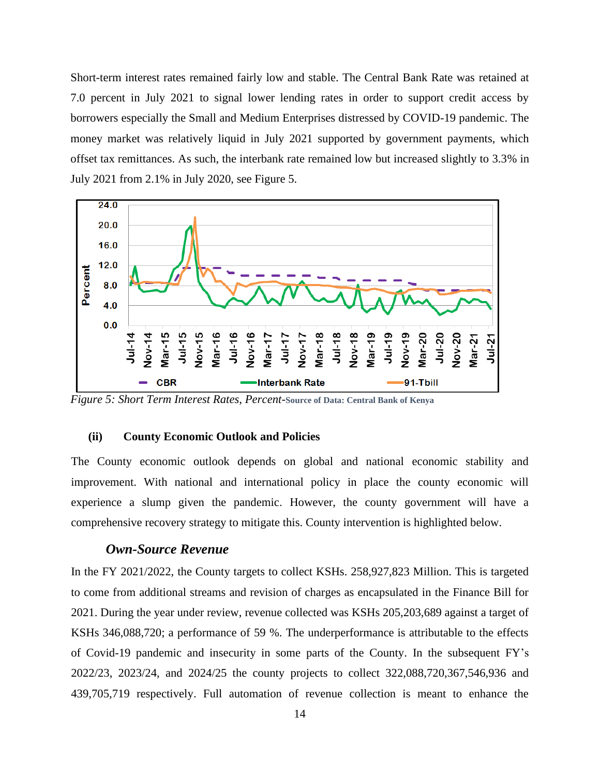Short-term interest rates remained fairly low and stable. The Central Bank Rate was retained at 7.0 percent in July 2021 to signal lower lending rates in order to support credit access by borrowers especially the Small and Medium Enterprises distressed by COVID-19 pandemic. The money market was relatively liquid in July 2021 supported by government payments, which offset tax remittances. As such, the interbank rate remained low but increased slightly to 3.3% in July 2021 from 2.1% in July 2020, see Figure 5.



<span id="page-25-1"></span>*Figure 5: Short Term Interest Rates, Percent-***Source of Data: Central Bank of Kenya**

#### <span id="page-25-0"></span>**(ii) County Economic Outlook and Policies**

The County economic outlook depends on global and national economic stability and improvement. With national and international policy in place the county economic will experience a slump given the pandemic. However, the county government will have a comprehensive recovery strategy to mitigate this. County intervention is highlighted below.

## *Own-Source Revenue*

In the FY 2021/2022, the County targets to collect KSHs. 258,927,823 Million. This is targeted to come from additional streams and revision of charges as encapsulated in the Finance Bill for 2021. During the year under review, revenue collected was KSHs 205,203,689 against a target of KSHs 346,088,720; a performance of 59 %. The underperformance is attributable to the effects of Covid-19 pandemic and insecurity in some parts of the County. In the subsequent FY's 2022/23, 2023/24, and 2024/25 the county projects to collect 322,088,720,367,546,936 and 439,705,719 respectively. Full automation of revenue collection is meant to enhance the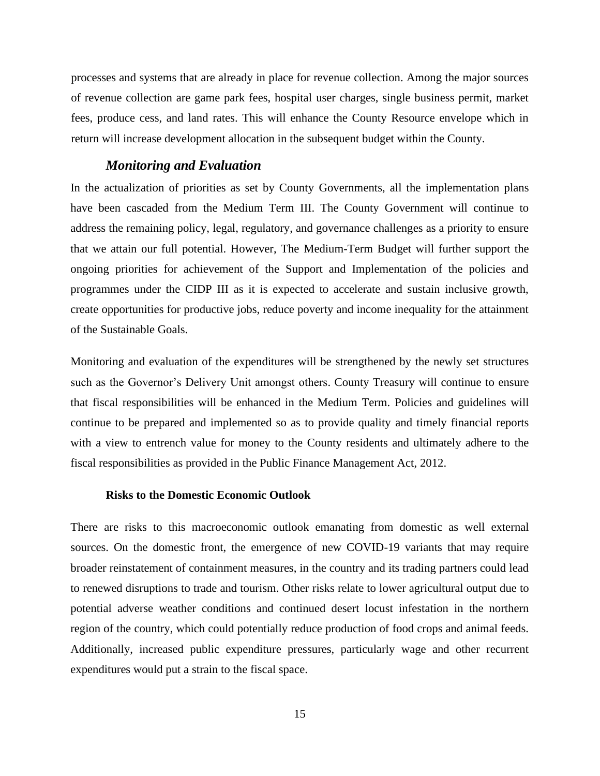processes and systems that are already in place for revenue collection. Among the major sources of revenue collection are game park fees, hospital user charges, single business permit, market fees, produce cess, and land rates. This will enhance the County Resource envelope which in return will increase development allocation in the subsequent budget within the County.

## *Monitoring and Evaluation*

In the actualization of priorities as set by County Governments, all the implementation plans have been cascaded from the Medium Term III. The County Government will continue to address the remaining policy, legal, regulatory, and governance challenges as a priority to ensure that we attain our full potential. However, The Medium-Term Budget will further support the ongoing priorities for achievement of the Support and Implementation of the policies and programmes under the CIDP III as it is expected to accelerate and sustain inclusive growth, create opportunities for productive jobs, reduce poverty and income inequality for the attainment of the Sustainable Goals.

Monitoring and evaluation of the expenditures will be strengthened by the newly set structures such as the Governor's Delivery Unit amongst others. County Treasury will continue to ensure that fiscal responsibilities will be enhanced in the Medium Term. Policies and guidelines will continue to be prepared and implemented so as to provide quality and timely financial reports with a view to entrench value for money to the County residents and ultimately adhere to the fiscal responsibilities as provided in the Public Finance Management Act, 2012.

#### **Risks to the Domestic Economic Outlook**

<span id="page-26-0"></span>There are risks to this macroeconomic outlook emanating from domestic as well external sources. On the domestic front, the emergence of new COVID-19 variants that may require broader reinstatement of containment measures, in the country and its trading partners could lead to renewed disruptions to trade and tourism. Other risks relate to lower agricultural output due to potential adverse weather conditions and continued desert locust infestation in the northern region of the country, which could potentially reduce production of food crops and animal feeds. Additionally, increased public expenditure pressures, particularly wage and other recurrent expenditures would put a strain to the fiscal space.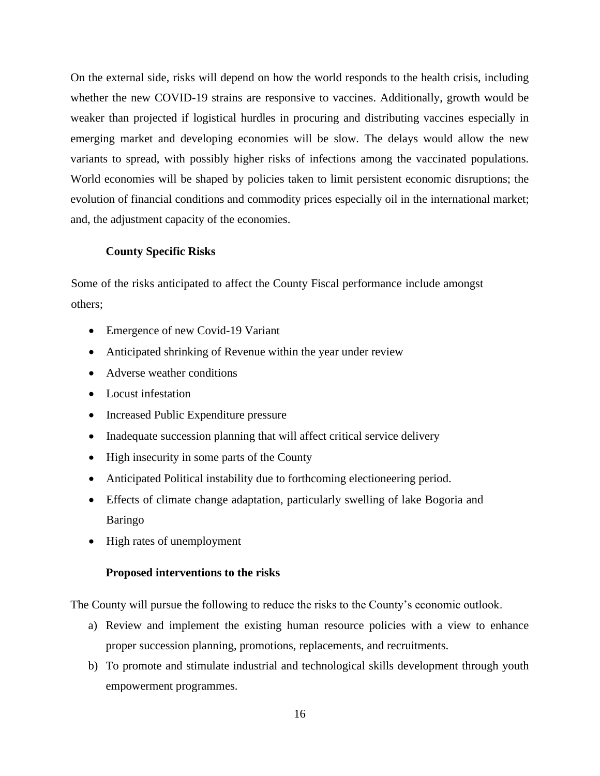On the external side, risks will depend on how the world responds to the health crisis, including whether the new COVID-19 strains are responsive to vaccines. Additionally, growth would be weaker than projected if logistical hurdles in procuring and distributing vaccines especially in emerging market and developing economies will be slow. The delays would allow the new variants to spread, with possibly higher risks of infections among the vaccinated populations. World economies will be shaped by policies taken to limit persistent economic disruptions; the evolution of financial conditions and commodity prices especially oil in the international market; and, the adjustment capacity of the economies.

## **County Specific Risks**

<span id="page-27-0"></span>Some of the risks anticipated to affect the County Fiscal performance include amongst others;

- Emergence of new Covid-19 Variant
- Anticipated shrinking of Revenue within the year under review
- Adverse weather conditions
- Locust infestation
- Increased Public Expenditure pressure
- Inadequate succession planning that will affect critical service delivery
- High insecurity in some parts of the County
- Anticipated Political instability due to forthcoming electioneering period.
- Effects of climate change adaptation, particularly swelling of lake Bogoria and Baringo
- High rates of unemployment

### **Proposed interventions to the risks**

<span id="page-27-1"></span>The County will pursue the following to reduce the risks to the County's economic outlook.

- a) Review and implement the existing human resource policies with a view to enhance proper succession planning, promotions, replacements, and recruitments.
- b) To promote and stimulate industrial and technological skills development through youth empowerment programmes.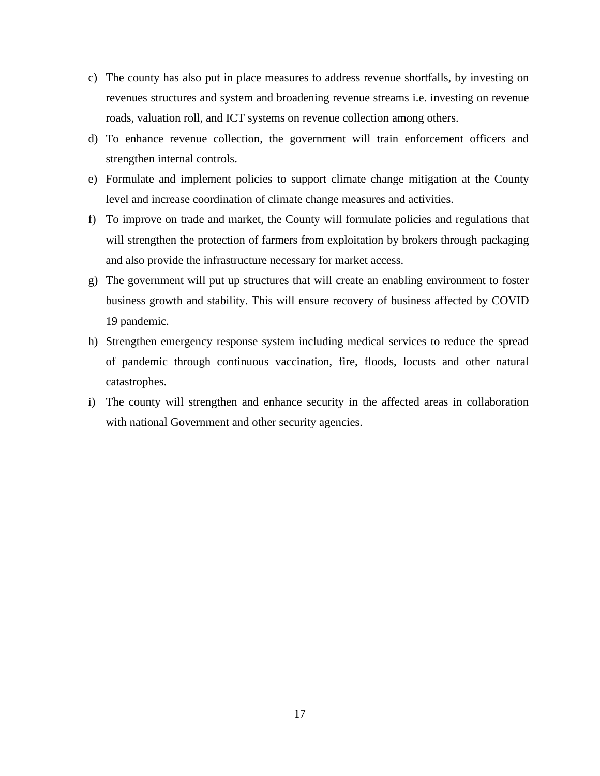- c) The county has also put in place measures to address revenue shortfalls, by investing on revenues structures and system and broadening revenue streams i.e. investing on revenue roads, valuation roll, and ICT systems on revenue collection among others.
- d) To enhance revenue collection, the government will train enforcement officers and strengthen internal controls.
- e) Formulate and implement policies to support climate change mitigation at the County level and increase coordination of climate change measures and activities.
- f) To improve on trade and market, the County will formulate policies and regulations that will strengthen the protection of farmers from exploitation by brokers through packaging and also provide the infrastructure necessary for market access.
- g) The government will put up structures that will create an enabling environment to foster business growth and stability. This will ensure recovery of business affected by COVID 19 pandemic.
- h) Strengthen emergency response system including medical services to reduce the spread of pandemic through continuous vaccination, fire, floods, locusts and other natural catastrophes.
- i) The county will strengthen and enhance security in the affected areas in collaboration with national Government and other security agencies.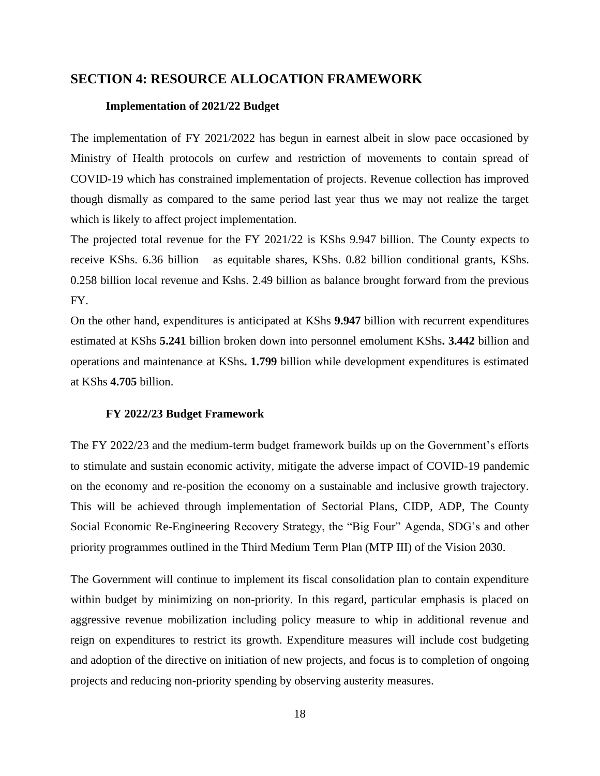## <span id="page-29-1"></span><span id="page-29-0"></span>**SECTION 4: RESOURCE ALLOCATION FRAMEWORK**

#### **Implementation of 2021/22 Budget**

The implementation of FY 2021/2022 has begun in earnest albeit in slow pace occasioned by Ministry of Health protocols on curfew and restriction of movements to contain spread of COVID-19 which has constrained implementation of projects. Revenue collection has improved though dismally as compared to the same period last year thus we may not realize the target which is likely to affect project implementation.

The projected total revenue for the FY 2021/22 is KShs 9.947 billion. The County expects to receive KShs. 6.36 billion as equitable shares, KShs. 0.82 billion conditional grants, KShs. 0.258 billion local revenue and Kshs. 2.49 billion as balance brought forward from the previous FY.

On the other hand, expenditures is anticipated at KShs **9.947** billion with recurrent expenditures estimated at KShs **5.241** billion broken down into personnel emolument KShs**. 3.442** billion and operations and maintenance at KShs**. 1.799** billion while development expenditures is estimated at KShs **4.705** billion.

#### **FY 2022/23 Budget Framework**

<span id="page-29-2"></span>The FY 2022/23 and the medium-term budget framework builds up on the Government's efforts to stimulate and sustain economic activity, mitigate the adverse impact of COVID-19 pandemic on the economy and re-position the economy on a sustainable and inclusive growth trajectory. This will be achieved through implementation of Sectorial Plans, CIDP, ADP, The County Social Economic Re-Engineering Recovery Strategy, the "Big Four" Agenda, SDG's and other priority programmes outlined in the Third Medium Term Plan (MTP III) of the Vision 2030.

The Government will continue to implement its fiscal consolidation plan to contain expenditure within budget by minimizing on non-priority. In this regard, particular emphasis is placed on aggressive revenue mobilization including policy measure to whip in additional revenue and reign on expenditures to restrict its growth. Expenditure measures will include cost budgeting and adoption of the directive on initiation of new projects, and focus is to completion of ongoing projects and reducing non-priority spending by observing austerity measures.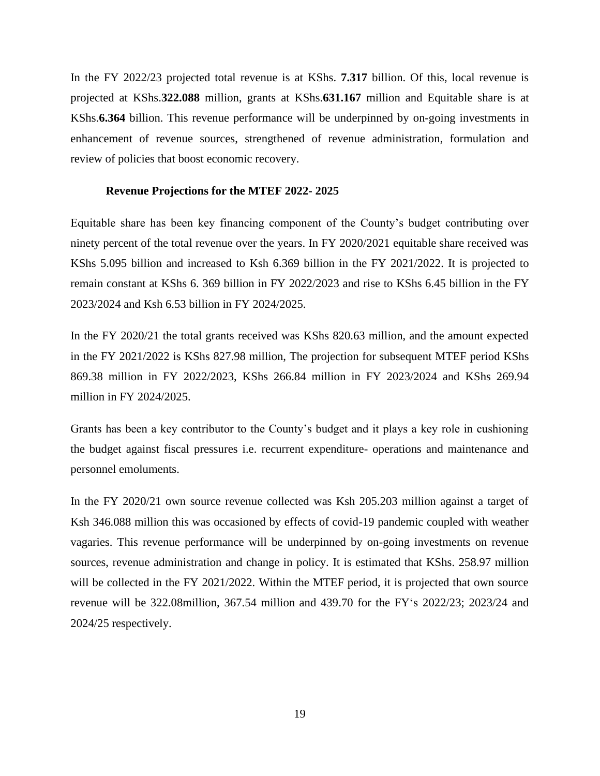In the FY 2022/23 projected total revenue is at KShs. **7.317** billion. Of this, local revenue is projected at KShs.**322.088** million, grants at KShs.**631.167** million and Equitable share is at KShs.**6.364** billion. This revenue performance will be underpinned by on-going investments in enhancement of revenue sources, strengthened of revenue administration, formulation and review of policies that boost economic recovery.

#### **Revenue Projections for the MTEF 2022- 2025**

<span id="page-30-0"></span>Equitable share has been key financing component of the County's budget contributing over ninety percent of the total revenue over the years. In FY 2020/2021 equitable share received was KShs 5.095 billion and increased to Ksh 6.369 billion in the FY 2021/2022. It is projected to remain constant at KShs 6. 369 billion in FY 2022/2023 and rise to KShs 6.45 billion in the FY 2023/2024 and Ksh 6.53 billion in FY 2024/2025.

In the FY 2020/21 the total grants received was KShs 820.63 million, and the amount expected in the FY 2021/2022 is KShs 827.98 million, The projection for subsequent MTEF period KShs 869.38 million in FY 2022/2023, KShs 266.84 million in FY 2023/2024 and KShs 269.94 million in FY 2024/2025.

Grants has been a key contributor to the County's budget and it plays a key role in cushioning the budget against fiscal pressures i.e. recurrent expenditure- operations and maintenance and personnel emoluments.

In the FY 2020/21 own source revenue collected was Ksh 205.203 million against a target of Ksh 346.088 million this was occasioned by effects of covid-19 pandemic coupled with weather vagaries. This revenue performance will be underpinned by on-going investments on revenue sources, revenue administration and change in policy. It is estimated that KShs. 258.97 million will be collected in the FY 2021/2022. Within the MTEF period, it is projected that own source revenue will be 322.08million, 367.54 million and 439.70 for the FY's 2022/23; 2023/24 and 2024/25 respectively.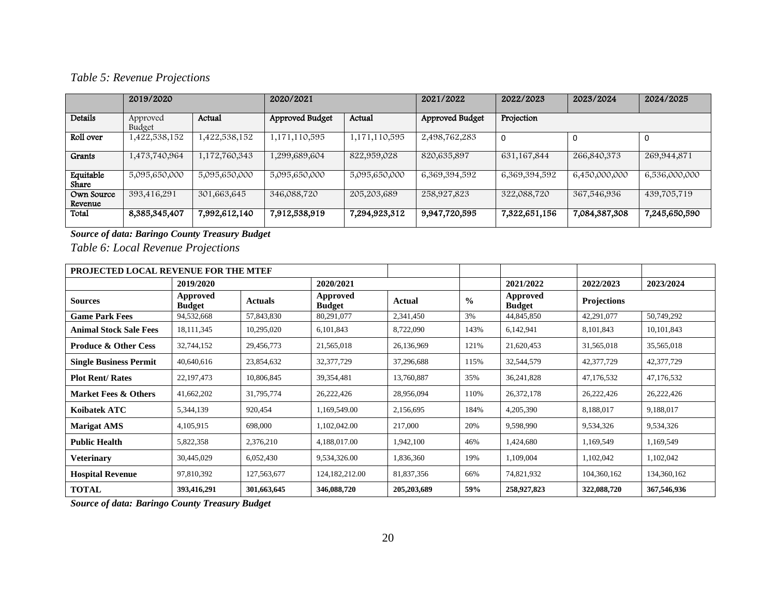# *Table 5: Revenue Projections*

|                       | 2019/2020          |               | 2020/2021       |               | 2021/2022       | 2022/2023     | 2023/2024     | 2024/2025     |
|-----------------------|--------------------|---------------|-----------------|---------------|-----------------|---------------|---------------|---------------|
| Details               | Approved<br>Budget | Actual        | Approved Budget | Actual        | Approved Budget | Projection    |               |               |
| Roll over             | 1,422,538,152      | 1,422,538,152 | 1,171,110,595   | 1,171,110,595 | 2,498,762,283   | 0             |               |               |
| <b>Grants</b>         | 1,473,740,964      | 1,172,760,343 | 1,299,689,604   | 822,959,028   | 820,635,897     | 631, 167, 844 | 266,840,373   | 269,944,871   |
| Equitable<br>Share    | 5,095,650,000      | 5,095,650,000 | 5,095,650,000   | 5,095,650,000 | 6,369,394,592   | 6,369,394,592 | 6,450,000,000 | 6,536,000,000 |
| Own Source<br>Revenue | 393,416,291        | 301,663,645   | 346,088,720     | 205,203,689   | 258,927,823     | 322,088,720   | 367,546,936   | 439,705,719   |
| Total                 | 8,385,345,407      | 7,992,612,140 | 7,912,538,919   | 7,294,923,312 | 9,947,720,595   | 7,322,651,156 | 7,084,387,308 | 7,245,650,590 |

*Source of data: Baringo County Treasury Budget*

<span id="page-31-0"></span>*Table 6: Local Revenue Projections*

| PROJECTED LOCAL REVENUE FOR THE MTEF |                           |                |                           |               |               |                           |                    |             |  |
|--------------------------------------|---------------------------|----------------|---------------------------|---------------|---------------|---------------------------|--------------------|-------------|--|
|                                      | 2019/2020                 |                |                           | 2020/2021     |               | 2021/2022                 | 2022/2023          | 2023/2024   |  |
| <b>Sources</b>                       | Approved<br><b>Budget</b> | <b>Actuals</b> | Approved<br><b>Budget</b> | Actual        | $\frac{0}{0}$ | Approved<br><b>Budget</b> | <b>Projections</b> |             |  |
| <b>Game Park Fees</b>                | 94,532,668                | 57,843,830     | 80,291,077                | 2,341,450     | 3%            | 44,845,850                | 42,291,077         | 50,749,292  |  |
| <b>Animal Stock Sale Fees</b>        | 18,111,345                | 10,295,020     | 6,101,843                 | 8,722,090     | 143%          | 6,142,941                 | 8,101,843          | 10,101,843  |  |
| <b>Produce &amp; Other Cess</b>      | 32,744,152                | 29,456,773     | 21,565,018                | 26,136,969    | 121%          | 21,620,453                | 31,565,018         | 35,565,018  |  |
| <b>Single Business Permit</b>        | 40,640,616                | 23,854,632     | 32, 377, 729              | 37,296,688    | 115%          | 32,544,579                | 42,377,729         | 42,377,729  |  |
| <b>Plot Rent/ Rates</b>              | 22, 197, 473              | 10,806,845     | 39, 354, 481              | 13,760,887    | 35%           | 36,241,828                | 47,176,532         | 47,176,532  |  |
| Market Fees & Others                 | 41,662,202                | 31,795,774     | 26,222,426                | 28,956,094    | 110%          | 26,372,178                | 26,222,426         | 26,222,426  |  |
| Koibatek ATC                         | 5,344,139                 | 920,454        | 1,169,549.00              | 2,156,695     | 184%          | 4,205,390                 | 8,188,017          | 9,188,017   |  |
| <b>Marigat AMS</b>                   | 4,105,915                 | 698,000        | 1,102,042.00              | 217,000       | 20%           | 9,598,990                 | 9,534,326          | 9,534,326   |  |
| <b>Public Health</b>                 | 5,822,358                 | 2,376,210      | 4,188,017.00              | 1,942,100     | 46%           | 1,424,680                 | 1,169,549          | 1,169,549   |  |
| <b>Veterinary</b>                    | 30,445,029                | 6,052,430      | 9,534,326.00              | 1,836,360     | 19%           | 1,109,004                 | 1,102,042          | 1,102,042   |  |
| <b>Hospital Revenue</b>              | 97,810,392                | 127,563,677    | 124, 182, 212.00          | 81,837,356    | 66%           | 74,821,932                | 104,360,162        | 134,360,162 |  |
| <b>TOTAL</b>                         | 393,416,291               | 301,663,645    | 346,088,720               | 205, 203, 689 | 59%           | 258,927,823               | 322,088,720        | 367,546,936 |  |

<span id="page-31-1"></span>*Source of data: Baringo County Treasury Budget*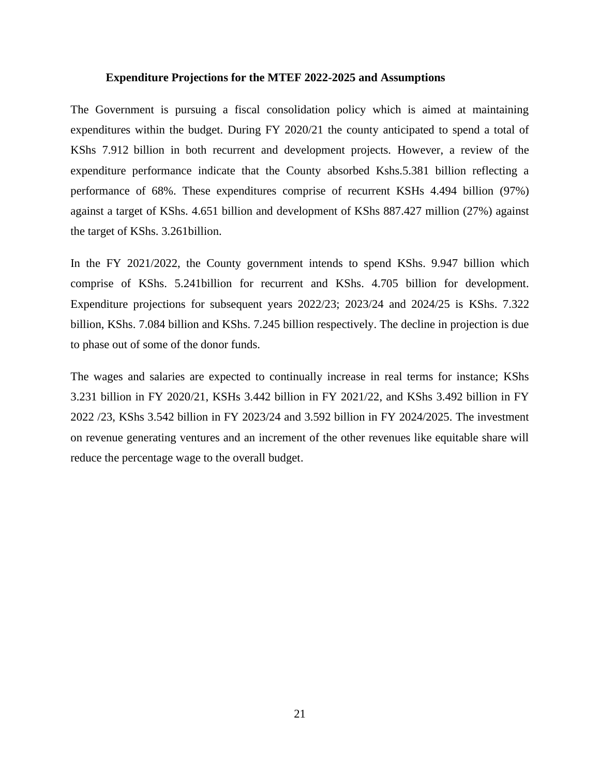#### **Expenditure Projections for the MTEF 2022-2025 and Assumptions**

<span id="page-32-0"></span>The Government is pursuing a fiscal consolidation policy which is aimed at maintaining expenditures within the budget. During FY 2020/21 the county anticipated to spend a total of KShs 7.912 billion in both recurrent and development projects. However, a review of the expenditure performance indicate that the County absorbed Kshs.5.381 billion reflecting a performance of 68%. These expenditures comprise of recurrent KSHs 4.494 billion (97%) against a target of KShs. 4.651 billion and development of KShs 887.427 million (27%) against the target of KShs. 3.261billion.

In the FY 2021/2022, the County government intends to spend KShs. 9.947 billion which comprise of KShs. 5.241billion for recurrent and KShs. 4.705 billion for development. Expenditure projections for subsequent years 2022/23; 2023/24 and 2024/25 is KShs. 7.322 billion, KShs. 7.084 billion and KShs. 7.245 billion respectively. The decline in projection is due to phase out of some of the donor funds.

The wages and salaries are expected to continually increase in real terms for instance; KShs 3.231 billion in FY 2020/21, KSHs 3.442 billion in FY 2021/22, and KShs 3.492 billion in FY 2022 /23, KShs 3.542 billion in FY 2023/24 and 3.592 billion in FY 2024/2025. The investment on revenue generating ventures and an increment of the other revenues like equitable share will reduce the percentage wage to the overall budget.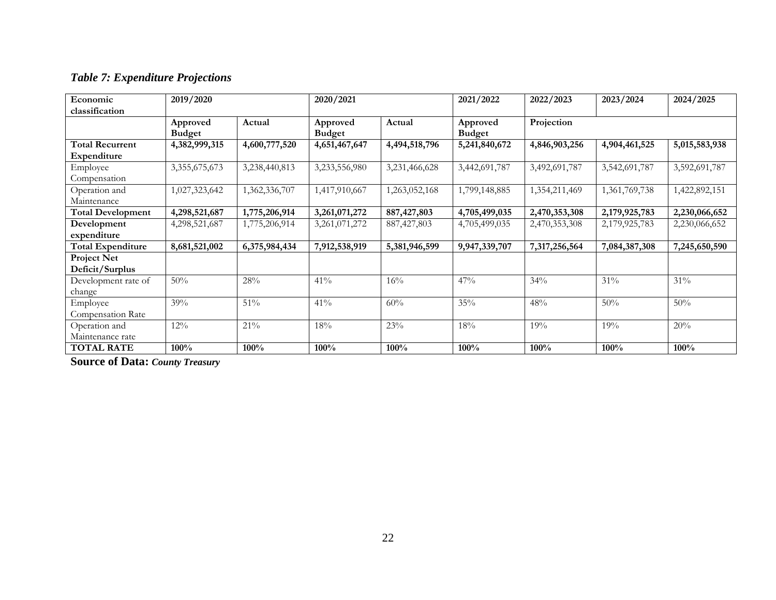# *Table 7: Expenditure Projections*

| Economic                              | 2019/2020                 |               | 2020/2021                 |               | 2021/2022                 | 2022/2023     | 2023/2024     | 2024/2025     |
|---------------------------------------|---------------------------|---------------|---------------------------|---------------|---------------------------|---------------|---------------|---------------|
| classification                        |                           |               |                           |               |                           |               |               |               |
|                                       | Approved<br><b>Budget</b> | Actual        | Approved<br><b>Budget</b> | Actual        | Approved<br><b>Budget</b> | Projection    |               |               |
| <b>Total Recurrent</b><br>Expenditure | 4,382,999,315             | 4,600,777,520 | 4,651,467,647             | 4,494,518,796 | 5,241,840,672             | 4,846,903,256 | 4,904,461,525 | 5,015,583,938 |
| Employee<br>Compensation              | 3,355,675,673             | 3,238,440,813 | 3,233,556,980             | 3,231,466,628 | 3,442,691,787             | 3,492,691,787 | 3,542,691,787 | 3,592,691,787 |
| Operation and<br>Maintenance          | 1,027,323,642             | 1,362,336,707 | 1,417,910,667             | 1,263,052,168 | 1,799,148,885             | 1,354,211,469 | 1,361,769,738 | 1,422,892,151 |
| <b>Total Development</b>              | 4,298,521,687             | 1,775,206,914 | 3,261,071,272             | 887, 427, 803 | 4,705,499,035             | 2,470,353,308 | 2,179,925,783 | 2,230,066,652 |
| Development<br>expenditure            | 4,298,521,687             | 1,775,206,914 | 3,261,071,272             | 887, 427, 803 | 4,705,499,035             | 2,470,353,308 | 2,179,925,783 | 2,230,066,652 |
| <b>Total Expenditure</b>              | 8,681,521,002             | 6,375,984,434 | 7,912,538,919             | 5,381,946,599 | 9,947,339,707             | 7,317,256,564 | 7,084,387,308 | 7,245,650,590 |
| <b>Project Net</b><br>Deficit/Surplus |                           |               |                           |               |                           |               |               |               |
| Development rate of<br>change         | 50%                       | 28%           | 41%                       | 16%           | 47%                       | 34%           | 31%           | 31%           |
| Employee<br>Compensation Rate         | 39%                       | $51\%$        | 41%                       | 60%           | 35%                       | 48%           | 50%           | 50%           |
| Operation and<br>Maintenance rate     | 12%                       | 21%           | 18%                       | 23%           | 18%                       | 19%           | 19%           | 20%           |
| <b>TOTAL RATE</b>                     | 100%                      | 100%          | 100%                      | 100%          | 100%                      | 100%          | 100%          | 100%          |

<span id="page-33-0"></span>**Source of Data:** *County Treasury*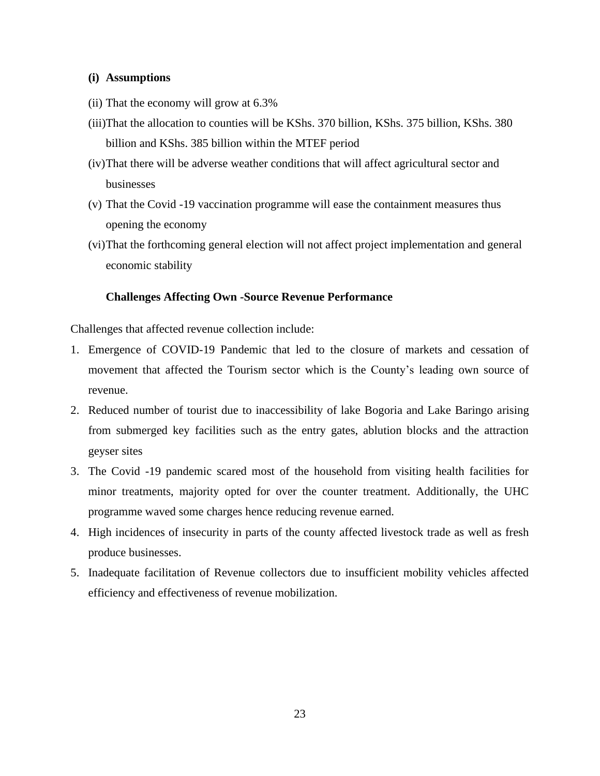### <span id="page-34-0"></span>**(i) Assumptions**

- (ii) That the economy will grow at 6.3%
- (iii)That the allocation to counties will be KShs. 370 billion, KShs. 375 billion, KShs. 380 billion and KShs. 385 billion within the MTEF period
- (iv)That there will be adverse weather conditions that will affect agricultural sector and businesses
- (v) That the Covid -19 vaccination programme will ease the containment measures thus opening the economy
- (vi)That the forthcoming general election will not affect project implementation and general economic stability

### **Challenges Affecting Own -Source Revenue Performance**

<span id="page-34-1"></span>Challenges that affected revenue collection include:

- 1. Emergence of COVID-19 Pandemic that led to the closure of markets and cessation of movement that affected the Tourism sector which is the County's leading own source of revenue.
- 2. Reduced number of tourist due to inaccessibility of lake Bogoria and Lake Baringo arising from submerged key facilities such as the entry gates, ablution blocks and the attraction geyser sites
- 3. The Covid -19 pandemic scared most of the household from visiting health facilities for minor treatments, majority opted for over the counter treatment. Additionally, the UHC programme waved some charges hence reducing revenue earned.
- 4. High incidences of insecurity in parts of the county affected livestock trade as well as fresh produce businesses.
- 5. Inadequate facilitation of Revenue collectors due to insufficient mobility vehicles affected efficiency and effectiveness of revenue mobilization.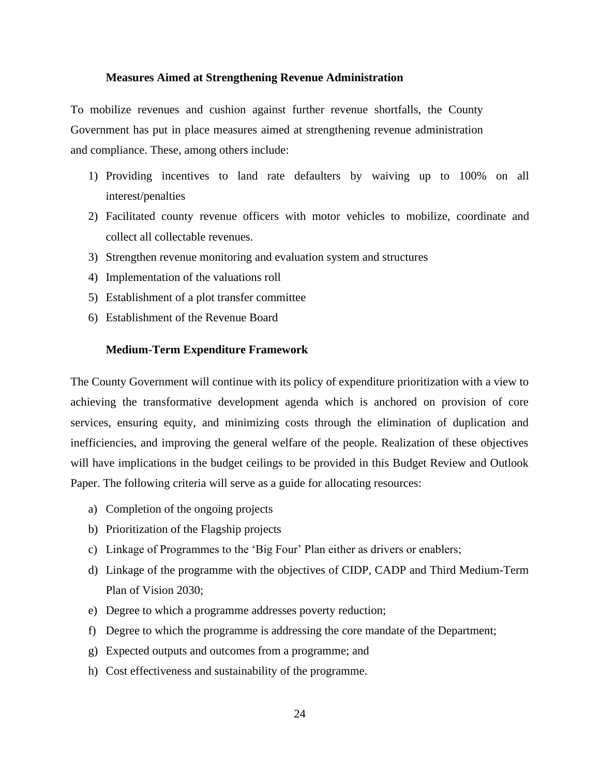#### **Measures Aimed at Strengthening Revenue Administration**

<span id="page-35-0"></span>To mobilize revenues and cushion against further revenue shortfalls, the County Government has put in place measures aimed at strengthening revenue administration and compliance. These, among others include:

- 1) Providing incentives to land rate defaulters by waiving up to 100% on all interest/penalties
- 2) Facilitated county revenue officers with motor vehicles to mobilize, coordinate and collect all collectable revenues.
- 3) Strengthen revenue monitoring and evaluation system and structures
- 4) Implementation of the valuations roll
- 5) Establishment of a plot transfer committee
- 6) Establishment of the Revenue Board

#### **Medium-Term Expenditure Framework**

<span id="page-35-1"></span>The County Government will continue with its policy of expenditure prioritization with a view to achieving the transformative development agenda which is anchored on provision of core services, ensuring equity, and minimizing costs through the elimination of duplication and inefficiencies, and improving the general welfare of the people. Realization of these objectives will have implications in the budget ceilings to be provided in this Budget Review and Outlook Paper. The following criteria will serve as a guide for allocating resources:

- a) Completion of the ongoing projects
- b) Prioritization of the Flagship projects
- c) Linkage of Programmes to the 'Big Four' Plan either as drivers or enablers;
- d) Linkage of the programme with the objectives of CIDP, CADP and Third Medium-Term Plan of Vision 2030;
- e) Degree to which a programme addresses poverty reduction;
- f) Degree to which the programme is addressing the core mandate of the Department;
- g) Expected outputs and outcomes from a programme; and
- h) Cost effectiveness and sustainability of the programme.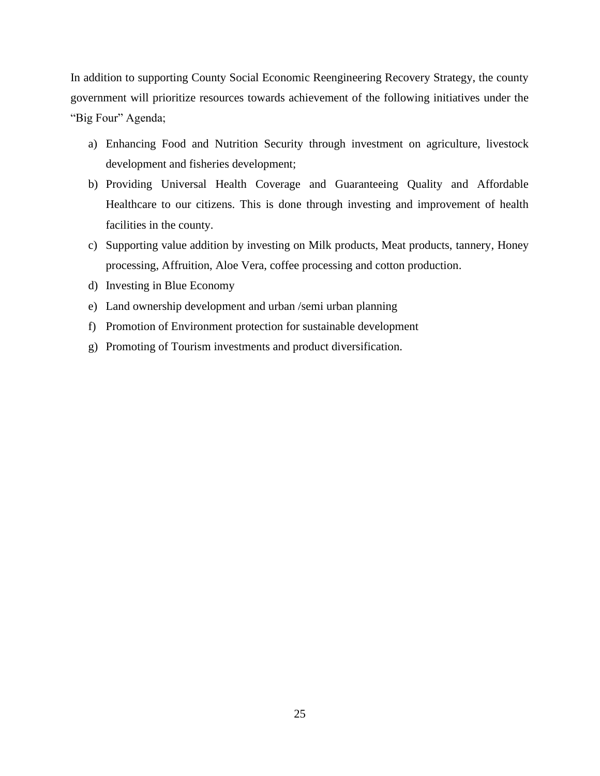In addition to supporting County Social Economic Reengineering Recovery Strategy, the county government will prioritize resources towards achievement of the following initiatives under the "Big Four" Agenda;

- a) Enhancing Food and Nutrition Security through investment on agriculture, livestock development and fisheries development;
- b) Providing Universal Health Coverage and Guaranteeing Quality and Affordable Healthcare to our citizens. This is done through investing and improvement of health facilities in the county.
- c) Supporting value addition by investing on Milk products, Meat products, tannery, Honey processing, Affruition, Aloe Vera, coffee processing and cotton production.
- d) Investing in Blue Economy
- e) Land ownership development and urban /semi urban planning
- f) Promotion of Environment protection for sustainable development
- g) Promoting of Tourism investments and product diversification.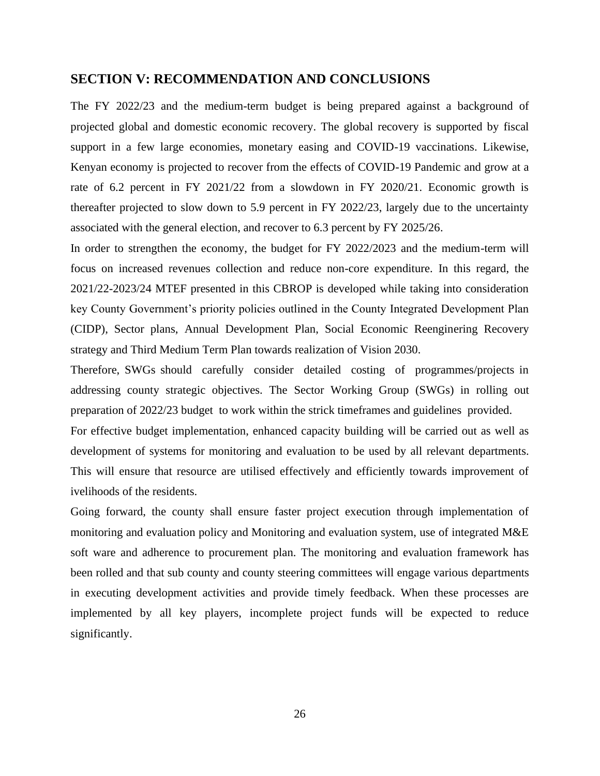## <span id="page-37-0"></span>**SECTION V: RECOMMENDATION AND CONCLUSIONS**

The FY 2022/23 and the medium-term budget is being prepared against a background of projected global and domestic economic recovery. The global recovery is supported by fiscal support in a few large economies, monetary easing and COVID-19 vaccinations. Likewise, Kenyan economy is projected to recover from the effects of COVID-19 Pandemic and grow at a rate of 6.2 percent in FY 2021/22 from a slowdown in FY 2020/21. Economic growth is thereafter projected to slow down to 5.9 percent in FY 2022/23, largely due to the uncertainty associated with the general election, and recover to 6.3 percent by FY 2025/26.

In order to strengthen the economy, the budget for FY 2022/2023 and the medium-term will focus on increased revenues collection and reduce non-core expenditure. In this regard, the 2021/22-2023/24 MTEF presented in this CBROP is developed while taking into consideration key County Government's priority policies outlined in the County Integrated Development Plan (CIDP), Sector plans, Annual Development Plan, Social Economic Reenginering Recovery strategy and Third Medium Term Plan towards realization of Vision 2030.

Therefore, SWGs should carefully consider detailed costing of programmes/projects in addressing county strategic objectives. The Sector Working Group (SWGs) in rolling out preparation of 2022/23 budget to work within the strick timeframes and guidelines provided.

For effective budget implementation, enhanced capacity building will be carried out as well as development of systems for monitoring and evaluation to be used by all relevant departments. This will ensure that resource are utilised effectively and efficiently towards improvement of ivelihoods of the residents.

Going forward, the county shall ensure faster project execution through implementation of monitoring and evaluation policy and Monitoring and evaluation system, use of integrated M&E soft ware and adherence to procurement plan. The monitoring and evaluation framework has been rolled and that sub county and county steering committees will engage various departments in executing development activities and provide timely feedback. When these processes are implemented by all key players, incomplete project funds will be expected to reduce significantly.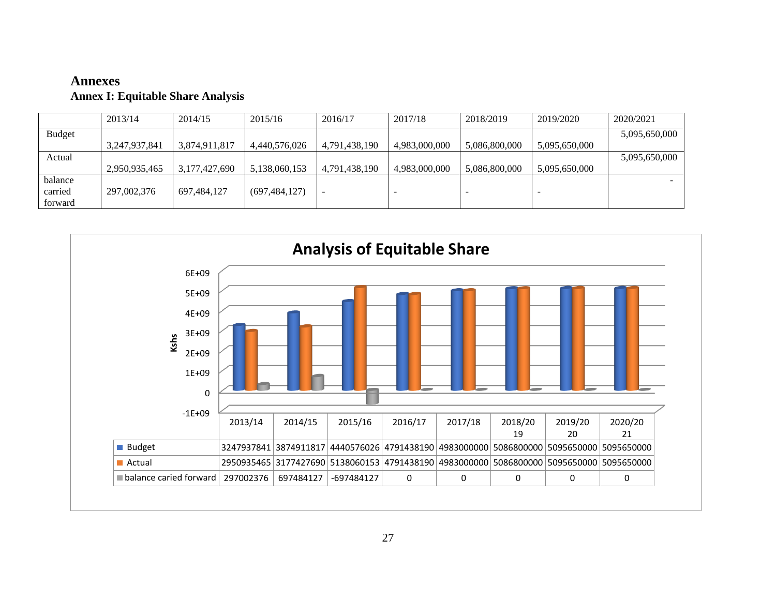# **Annexes Annex I: Equitable Share Analysis**

|               | 2013/14       | 2014/15       | 2015/16         | 2016/17       | 2017/18       | 2018/2019     | 2019/2020     | 2020/2021     |
|---------------|---------------|---------------|-----------------|---------------|---------------|---------------|---------------|---------------|
| <b>Budget</b> |               |               |                 |               |               |               |               | 5,095,650,000 |
|               | 3.247.937.841 | 3.874.911.817 | 4,440,576,026   | 4,791,438,190 | 4.983.000.000 | 5,086,800,000 | 5,095,650,000 |               |
| Actual        |               |               |                 |               |               |               |               | 5,095,650,000 |
|               | 2.950.935.465 | 3.177.427.690 | 5,138,060,153   | 4,791,438,190 | 4,983,000,000 | 5,086,800,000 | 5,095,650,000 |               |
| balance       |               |               |                 |               |               |               |               | -             |
| carried       | 297,002,376   | 697,484,127   | (697, 484, 127) |               | -             |               |               |               |
| forward       |               |               |                 |               |               |               |               |               |

<span id="page-38-0"></span>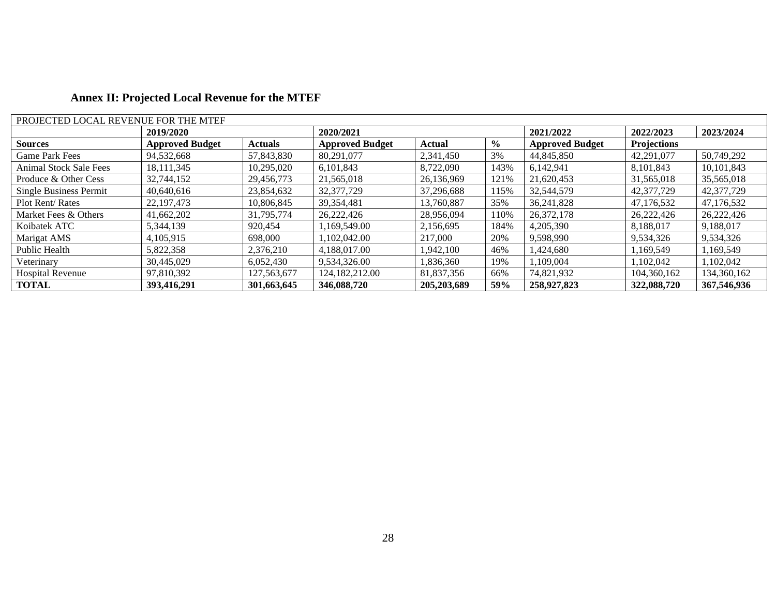| PROJECTED LOCAL REVENUE FOR THE MTEF |                        |                |                        |               |               |                        |             |             |  |  |  |
|--------------------------------------|------------------------|----------------|------------------------|---------------|---------------|------------------------|-------------|-------------|--|--|--|
|                                      | 2019/2020              |                | 2020/2021              |               |               | 2021/2022              | 2022/2023   | 2023/2024   |  |  |  |
| <b>Sources</b>                       | <b>Approved Budget</b> | <b>Actuals</b> | <b>Approved Budget</b> | Actual        | $\frac{6}{9}$ | <b>Approved Budget</b> | Projections |             |  |  |  |
| <b>Game Park Fees</b>                | 94,532,668             | 57,843,830     | 80,291,077             | 2,341,450     | 3%            | 44,845,850             | 42,291,077  | 50,749,292  |  |  |  |
| <b>Animal Stock Sale Fees</b>        | 18, 111, 345           | 10,295,020     | 6,101,843              | 8,722,090     | 143%          | 6,142,941              | 8,101,843   | 10.101.843  |  |  |  |
| Produce & Other Cess                 | 32,744,152             | 29,456,773     | 21,565,018             | 26,136,969    | 121%          | 21,620,453             | 31,565,018  | 35,565,018  |  |  |  |
| Single Business Permit               | 40,640,616             | 23,854,632     | 32,377,729             | 37.296.688    | 115%          | 32,544,579             | 42,377,729  | 42,377,729  |  |  |  |
| <b>Plot Rent/ Rates</b>              | 22, 197, 473           | 10,806,845     | 39, 354, 481           | 13,760,887    | 35%           | 36,241,828             | 47,176,532  | 47,176,532  |  |  |  |
| Market Fees & Others                 | 41,662,202             | 31,795,774     | 26,222,426             | 28,956,094    | 110%          | 26.372.178             | 26,222,426  | 26,222,426  |  |  |  |
| Koibatek ATC                         | 5,344,139              | 920,454        | 1,169,549.00           | 2,156,695     | 184%          | 4.205.390              | 8,188,017   | 9,188,017   |  |  |  |
| Marigat AMS                          | 4.105.915              | 698,000        | 1.102.042.00           | 217,000       | 20%           | 9,598,990              | 9,534,326   | 9,534,326   |  |  |  |
| Public Health                        | 5,822,358              | 2,376,210      | 4.188.017.00           | 1,942,100     | 46%           | 1,424,680              | 1,169,549   | 1,169,549   |  |  |  |
| Veterinary                           | 30,445,029             | 6,052,430      | 9.534.326.00           | 1.836.360     | 19%           | 1,109,004              | 1.102.042   | 1.102.042   |  |  |  |
| <b>Hospital Revenue</b>              | 97,810,392             | 127,563,677    | 124, 182, 212, 00      | 81,837,356    | 66%           | 74,821,932             | 104,360,162 | 134,360,162 |  |  |  |
| <b>TOTAL</b>                         | 393,416,291            | 301,663,645    | 346,088,720            | 205, 203, 689 | 59%           | 258,927,823            | 322,088,720 | 367,546,936 |  |  |  |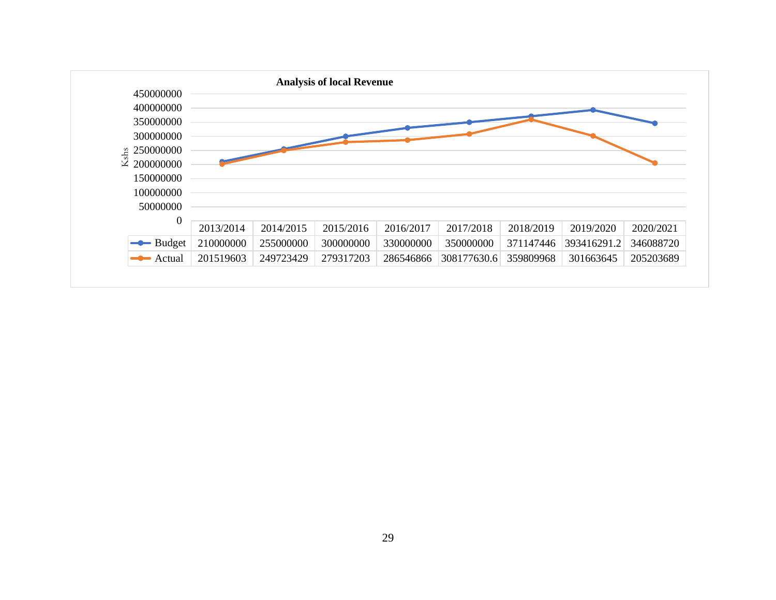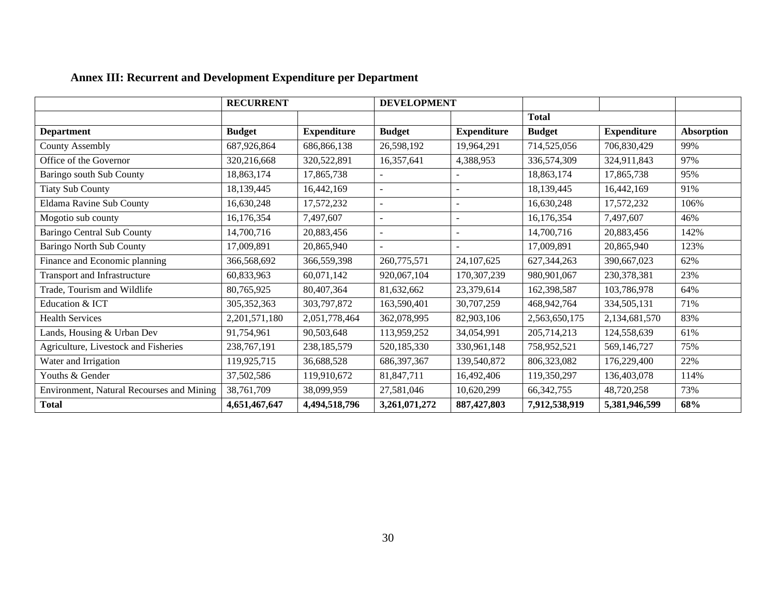|                                           | <b>RECURRENT</b> |                    | <b>DEVELOPMENT</b>       |                    |               |                    |                   |
|-------------------------------------------|------------------|--------------------|--------------------------|--------------------|---------------|--------------------|-------------------|
|                                           |                  |                    |                          |                    | <b>Total</b>  |                    |                   |
| <b>Department</b>                         | <b>Budget</b>    | <b>Expenditure</b> | <b>Budget</b>            | <b>Expenditure</b> | <b>Budget</b> | <b>Expenditure</b> | <b>Absorption</b> |
| <b>County Assembly</b>                    | 687,926,864      | 686,866,138        | 26,598,192               | 19,964,291         | 714,525,056   | 706,830,429        | 99%               |
| Office of the Governor                    | 320,216,668      | 320,522,891        | 16,357,641               | 4,388,953          | 336,574,309   | 324,911,843        | 97%               |
| Baringo south Sub County                  | 18,863,174       | 17,865,738         | $\overline{\phantom{a}}$ |                    | 18,863,174    | 17,865,738         | 95%               |
| <b>Tiaty Sub County</b>                   | 18,139,445       | 16,442,169         | $\sim$                   |                    | 18,139,445    | 16,442,169         | 91%               |
| <b>Eldama Ravine Sub County</b>           | 16,630,248       | 17,572,232         | $\sim$                   |                    | 16,630,248    | 17,572,232         | 106%              |
| Mogotio sub county                        | 16,176,354       | 7,497,607          | $\overline{\phantom{a}}$ |                    | 16,176,354    | 7,497,607          | 46%               |
| <b>Baringo Central Sub County</b>         | 14,700,716       | 20,883,456         | $\sim$                   |                    | 14,700,716    | 20,883,456         | 142%              |
| <b>Baringo North Sub County</b>           | 17,009,891       | 20,865,940         | $\overline{a}$           |                    | 17,009,891    | 20,865,940         | 123%              |
| Finance and Economic planning             | 366,568,692      | 366,559,398        | 260,775,571              | 24, 107, 625       | 627, 344, 263 | 390,667,023        | 62%               |
| Transport and Infrastructure              | 60,833,963       | 60,071,142         | 920,067,104              | 170,307,239        | 980,901,067   | 230,378,381        | 23%               |
| Trade, Tourism and Wildlife               | 80,765,925       | 80,407,364         | 81,632,662               | 23,379,614         | 162,398,587   | 103,786,978        | 64%               |
| Education & ICT                           | 305, 352, 363    | 303,797,872        | 163,590,401              | 30,707,259         | 468,942,764   | 334,505,131        | 71%               |
| <b>Health Services</b>                    | 2,201,571,180    | 2,051,778,464      | 362,078,995              | 82,903,106         | 2,563,650,175 | 2,134,681,570      | 83%               |
| Lands, Housing & Urban Dev                | 91,754,961       | 90,503,648         | 113,959,252              | 34,054,991         | 205,714,213   | 124,558,639        | 61%               |
| Agriculture, Livestock and Fisheries      | 238, 767, 191    | 238, 185, 579      | 520,185,330              | 330,961,148        | 758,952,521   | 569,146,727        | 75%               |
| Water and Irrigation                      | 119,925,715      | 36,688,528         | 686, 397, 367            | 139,540,872        | 806,323,082   | 176,229,400        | 22%               |
| Youths & Gender                           | 37,502,586       | 119,910,672        | 81,847,711               | 16,492,406         | 119,350,297   | 136,403,078        | 114%              |
| Environment, Natural Recourses and Mining | 38,761,709       | 38,099,959         | 27,581,046               | 10,620,299         | 66, 342, 755  | 48,720,258         | 73%               |
| <b>Total</b>                              | 4,651,467,647    | 4,494,518,796      | 3,261,071,272            | 887, 427, 803      | 7,912,538,919 | 5,381,946,599      | 68%               |

# **Annex III: Recurrent and Development Expenditure per Department**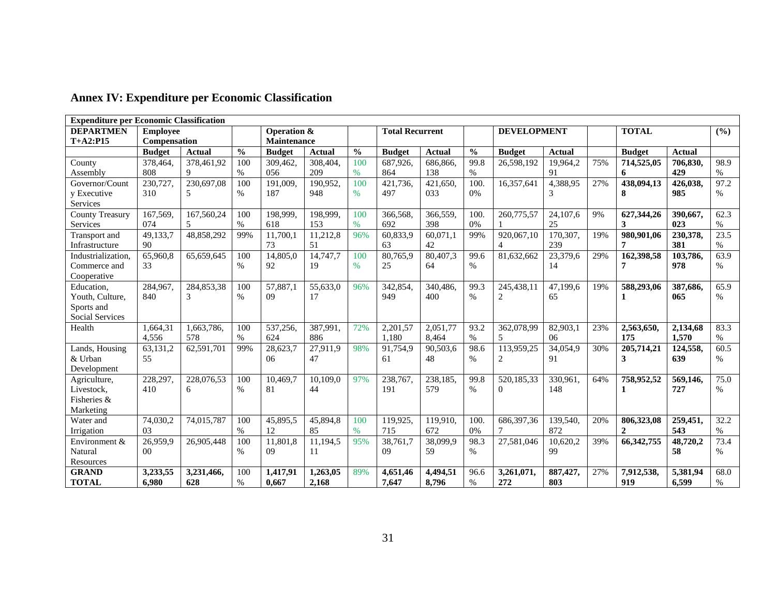| <b>Expenditure per Economic Classification</b> |                 |               |               |                |               |               |                        |               |               |                          |               |              |               |               |      |
|------------------------------------------------|-----------------|---------------|---------------|----------------|---------------|---------------|------------------------|---------------|---------------|--------------------------|---------------|--------------|---------------|---------------|------|
| <b>DEPARTMEN</b>                               | <b>Employee</b> |               |               | Operation &    |               |               | <b>Total Recurrent</b> |               |               | <b>DEVELOPMENT</b>       |               | <b>TOTAL</b> |               |               | (%)  |
| $T+A2:PI5$                                     | Compensation    |               |               | Maintenance    |               |               |                        |               |               |                          |               |              |               |               |      |
|                                                | <b>Budget</b>   | <b>Actual</b> | $\frac{0}{0}$ | <b>Budget</b>  | <b>Actual</b> | $\frac{0}{0}$ | <b>Budget</b>          | <b>Actual</b> | $\frac{0}{0}$ | <b>Budget</b>            | <b>Actual</b> |              | <b>Budget</b> | <b>Actual</b> |      |
| County                                         | 378,464         | 378,461,92    | 100           | 309.462.       | 308,404.      | 100           | 687.926.               | 686,866.      | 99.8          | 26,598,192               | 19.964.2      | 75%          | 714,525,05    | 706.830.      | 98.9 |
| Assembly                                       | 808             | 9             | %             | 056            | 209           | %             | 864                    | 138           | $\%$          |                          | 91            |              | 6             | 429           | $\%$ |
| Governor/Count                                 | 230,727.        | 230,697,08    | 100           | 191,009.       | 190,952.      | 100           | 421.736.               | 421,650,      | 100.          | 16.357.641               | 4,388,95      | 27%          | 438.094.13    | 426,038,      | 97.2 |
| y Executive                                    | 310             | 5             | $\%$          | 187            | 948           | $\%$          | 497                    | 033           | 0%            |                          | 3             |              | 8             | 985           | $\%$ |
| Services                                       |                 |               |               |                |               |               |                        |               |               |                          |               |              |               |               |      |
| <b>County Treasury</b>                         | 167,569.        | 167,560,24    | 100           | 198,999,       | 198,999.      | 100           | 366,568.               | 366,559,      | 100.          | 260,775,57               | 24,107,6      | 9%           | 627,344,26    | 390,667,      | 62.3 |
| Services                                       | 074             | 5             | $\%$          | 618            | 153           | %             | 692                    | 398           | 0%            |                          | 25            |              | 3             | 023           | $\%$ |
| Transport and                                  | 49,133,7        | 48,858,292    | 99%           | 11,700,1       | 11,212,8      | 96%           | 60,833,9               | 60,071,1      | 99%           | 920.067.10               | 170,307,      | 19%          | 980,901,06    | 230,378,      | 23.5 |
| Infrastructure                                 | 90              |               |               | 73             | 51            |               | 63                     | 42            |               | $\overline{\mathcal{A}}$ | 239           |              | 7             | 381           | $\%$ |
| Industrialization                              | 65,960,8        | 65,659,645    | 100           | 14,805,0       | 14,747,7      | 100           | 80,765,9               | 80,407,3      | 99.6          | 81,632,662               | 23,379,6      | 29%          | 162,398,58    | 103,786,      | 63.9 |
| Commerce and                                   | 33              |               | $\%$          | 92             | 19            | %             | 25                     | 64            | $\%$          |                          | 14            |              | 7             | 978           | $\%$ |
| Cooperative                                    |                 |               |               |                |               |               |                        |               |               |                          |               |              |               |               |      |
| Education,                                     | 284,967.        | 284,853,38    | 100           | 57,887,1       | 55,633,0      | 96%           | 342,854,               | 340.486.      | 99.3          | 245,438,11               | 47,199,6      | 19%          | 588,293,06    | 387.686.      | 65.9 |
| Youth, Culture,                                | 840             | 3             | $\%$          | 09             | 17            |               | 949                    | 400           | $\%$          | $\overline{c}$           | 65            |              | 1             | 065           | $\%$ |
| Sports and                                     |                 |               |               |                |               |               |                        |               |               |                          |               |              |               |               |      |
| Social Services                                |                 |               |               |                |               |               |                        |               |               |                          |               |              |               |               |      |
| Health                                         | 1,664,31        | 1,663,786,    | 100           | 537,256,       | 387,991,      | 72%           | 2,201,57               | 2,051,77      | 93.2          | 362,078,99               | 82,903,1      | 23%          | 2,563,650,    | 2,134,68      | 83.3 |
|                                                | 4.556           | 578           | $\%$          | 624            | 886           |               | 1.180                  | 8.464         | $\%$          | 5                        | 06            |              | 175           | 1.570         | $\%$ |
| Lands, Housing                                 | 63,131,2        | 62,591,701    | 99%           | 28,623,7       | 27,911,9      | 98%           | 91,754,9               | 90,503,6      | 98.6          | 113,959,25               | 34,054,9      | 30%          | 205,714,21    | 124,558,      | 60.5 |
| & Urban                                        | 55              |               |               | 06             | 47            |               | 61                     | 48            | $\%$          | $\mathbf{2}$             | 91            |              | 3             | 639           | $\%$ |
| Development                                    |                 |               |               |                |               |               |                        |               |               |                          |               |              |               |               |      |
| Agriculture,                                   | 228,297.        | 228,076,53    | 100           | 10.469.7       | 10,109,0      | 97%           | 238,767,               | 238.185.      | 99.8          | 520.185.33               | 330,961,      | 64%          | 758,952,52    | 569.146.      | 75.0 |
| Livestock,                                     | 410             | 6             | $\%$          | 81             | 44            |               | 191                    | 579           | $\%$          | $\Omega$                 | 148           |              | 1             | 727           | $\%$ |
| Fisheries &                                    |                 |               |               |                |               |               |                        |               |               |                          |               |              |               |               |      |
| Marketing                                      |                 |               |               |                |               |               |                        |               |               |                          |               |              |               |               |      |
| Water and                                      | 74,030,2        | 74,015,787    | 100           | 45,895,5       | 45,894,8      | 100           | 119,925,               | 119,910,      | 100.          | 686, 397, 36             | 139,540,      | 20%          | 806,323,08    | 259,451,      | 32.2 |
| Irrigation                                     | 03              |               | %             | 12             | 85            | %             | 715                    | 672           | 0%            | 7                        | 872           |              | $\mathbf{2}$  | 543           | $\%$ |
| Environment &                                  | 26.959.9        | 26,905,448    | 100           | 11.801.8       | 11,194,5      | 95%           | 38.761.7               | 38,099,9      | 98.3          | 27,581,046               | 10.620.2      | 39%          | 66, 342, 755  | 48,720,2      | 73.4 |
| Natural                                        | 0 <sup>0</sup>  |               | $\%$          | 0 <sup>9</sup> | 11            |               | 09                     | 59            | $\%$          |                          | 99            |              |               | 58            | $\%$ |
| Resources                                      |                 |               |               |                |               |               |                        |               |               |                          |               |              |               |               |      |
| <b>GRAND</b>                                   | 3,233,55        | 3,231,466,    | 100           | 1,417,91       | 1,263,05      | 89%           | 4,651,46               | 4,494,51      | 96.6          | 3,261,071,               | 887,427,      | 27%          | 7,912,538,    | 5,381,94      | 68.0 |
| <b>TOTAL</b>                                   | 6,980           | 628           | $\%$          | 0,667          | 2,168         |               | 7,647                  | 8,796         | $\%$          | 272                      | 803           |              | 919           | 6,599         | $\%$ |

# **Annex IV: Expenditure per Economic Classification**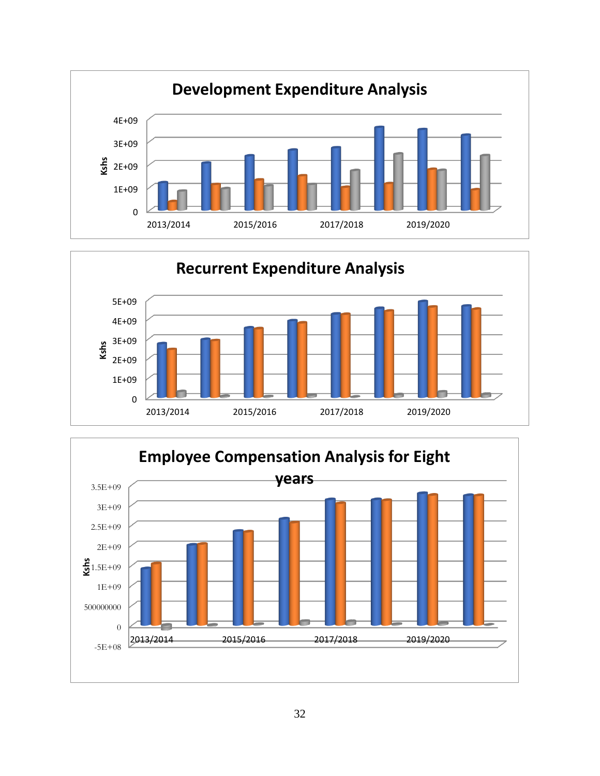